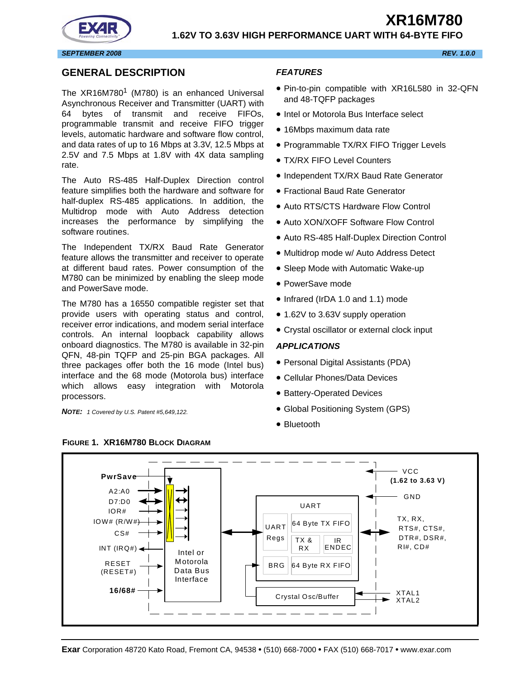

# <span id="page-0-1"></span>**GENERAL DESCRIPTION**

The  $XR16M780$ <sup>1</sup> (M780) is an enhanced Universal Asynchronous Receiver and Transmitter (UART) with 64 bytes of transmit and receive FIFOs, programmable transmit and receive FIFO trigger levels, automatic hardware and software flow control, and data rates of up to 16 Mbps at 3.3V, 12.5 Mbps at 2.5V and 7.5 Mbps at 1.8V with 4X data sampling rate.

The Auto RS-485 Half-Duplex Direction control feature simplifies both the hardware and software for half-duplex RS-485 applications. In addition, the Multidrop mode with Auto Address detection increases the performance by simplifying the software routines.

The Independent TX/RX Baud Rate Generator feature allows the transmitter and receiver to operate at different baud rates. Power consumption of the M780 can be minimized by enabling the sleep mode and PowerSave mode.

The M780 has a 16550 compatible register set that provide users with operating status and control, receiver error indications, and modem serial interface controls. An internal loopback capability allows onboard diagnostics. The M780 is available in 32-pin QFN, 48-pin TQFP and 25-pin BGA packages. All three packages offer both the 16 mode (Intel bus) interface and the 68 mode (Motorola bus) interface which allows easy integration with Motorola processors.

*NOTE: 1 Covered by U.S. Patent #5,649,122.*

<span id="page-0-0"></span>**FIGURE 1. XR16M780 BLOCK DIAGRAM**

## <span id="page-0-2"></span>*FEATURES*

- Pin-to-pin compatible with XR16L580 in 32-QFN and 48-TQFP packages
- Intel or Motorola Bus Interface select
- 16Mbps maximum data rate
- Programmable TX/RX FIFO Trigger Levels
- TX/RX FIFO Level Counters
- Independent TX/RX Baud Rate Generator
- Fractional Baud Rate Generator
- Auto RTS/CTS Hardware Flow Control
- Auto XON/XOFF Software Flow Control
- Auto RS-485 Half-Duplex Direction Control
- Multidrop mode w/ Auto Address Detect
- Sleep Mode with Automatic Wake-up
- PowerSave mode
- Infrared (IrDA 1.0 and 1.1) mode
- 1.62V to 3.63V supply operation
- Crystal oscillator or external clock input

#### <span id="page-0-3"></span>*APPLICATIONS*

- Personal Digital Assistants (PDA)
- Cellular Phones/Data Devices
- Battery-Operated Devices
- Global Positioning System (GPS)
- Bluetooth

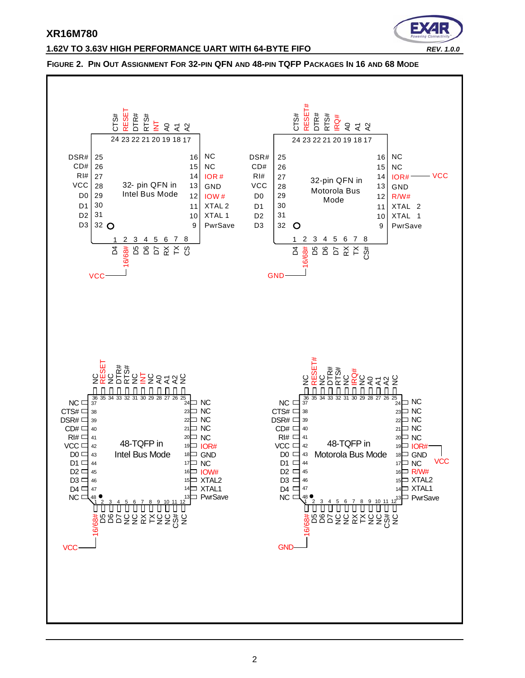

#### **1.62V TO 3.63V HIGH PERFORMANCE UART WITH 64-BYTE FIFO** *REV. 1.0.0*

#### <span id="page-1-0"></span>**FIGURE 2. PIN OUT ASSIGNMENT FOR 32-PIN QFN AND 48-PIN TQFP PACKAGES IN 16 AND 68 MODE**

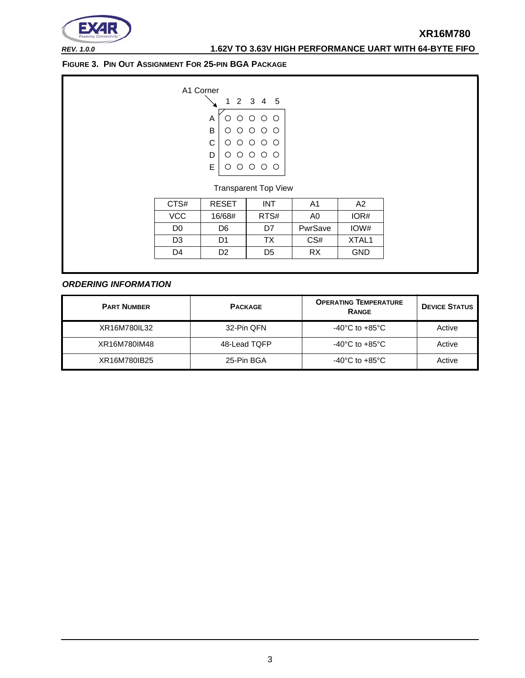

*REV. 1.0.0* **1.62V TO 3.63V HIGH PERFORMANCE UART WITH 64-BYTE FIFO**

<span id="page-2-0"></span>**FIGURE 3. PIN OUT ASSIGNMENT FOR 25-PIN BGA PACKAGE**

| A1 Corner |   |                                                                                                                     |  |  |
|-----------|---|---------------------------------------------------------------------------------------------------------------------|--|--|
|           |   | 1 2 3 4 5                                                                                                           |  |  |
|           |   | $\begin{array}{c} 0 & 0 & 0 & 0 \\ 0 & 0 & 0 & 0 \\ 0 & 0 & 0 & 0 \\ 0 & 0 & 0 & 0 \\ 0 & 0 & 0 & 0 \\ \end{array}$ |  |  |
| B         |   |                                                                                                                     |  |  |
| C.        | Ο |                                                                                                                     |  |  |
|           |   |                                                                                                                     |  |  |
| E.        |   |                                                                                                                     |  |  |
|           |   |                                                                                                                     |  |  |

Transparent Top View

| CTS#       | <b>RESET</b> | INT  | A1      | A2                |
|------------|--------------|------|---------|-------------------|
| <b>VCC</b> | 16/68#       | RTS# | A0      | IOR#              |
| D0         | D6           | D7   | PwrSave | IOW#              |
| D3         | D1           | ТX   | CS#     | XTAL <sub>1</sub> |
| D4         | D2           | D5   | RX      | <b>GND</b>        |
|            |              |      |         |                   |

#### <span id="page-2-1"></span>*ORDERING INFORMATION*

| <b>PART NUMBER</b> | <b>PACKAGE</b> | <b>OPERATING TEMPERATURE</b><br><b>RANGE</b> | <b>DEVICE STATUS</b> |
|--------------------|----------------|----------------------------------------------|----------------------|
| XR16M780IL32       | 32-Pin QFN     | $-40^{\circ}$ C to $+85^{\circ}$ C           | Active               |
| XR16M780IM48       | 48-Lead TQFP   | $-40^{\circ}$ C to $+85^{\circ}$ C           | Active               |
| XR16M780IB25       | 25-Pin BGA     | $-40^{\circ}$ C to $+85^{\circ}$ C           | Active               |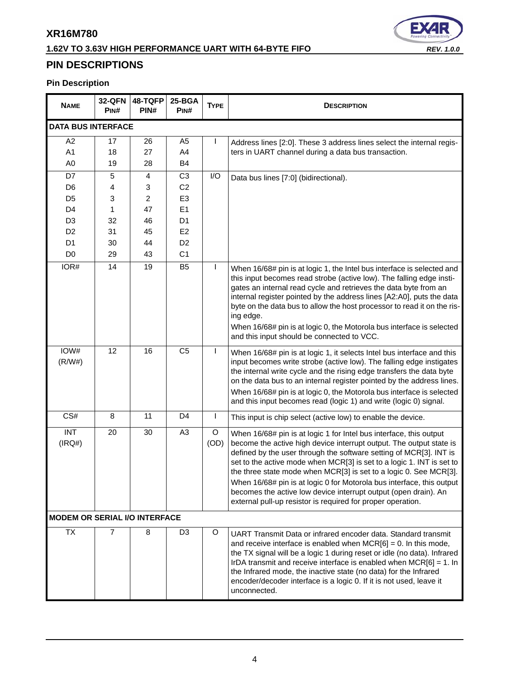# **1.62V TO 3.63V HIGH PERFORMANCE UART WITH 64-BYTE FIFO** *REV. 1.0.0*



# <span id="page-3-0"></span>**PIN DESCRIPTIONS**

# **Pin Description**

| <b>NAME</b>                          | <b>32-QFN</b><br>P <sub>IN#</sub> | 48-TQFP<br>PIN# | 25-BGA<br>PINH                   | <b>TYPE</b>  | <b>DESCRIPTION</b>                                                                                                                                                                                                                                                                                                                                                                                                                                                                                                                                                       |
|--------------------------------------|-----------------------------------|-----------------|----------------------------------|--------------|--------------------------------------------------------------------------------------------------------------------------------------------------------------------------------------------------------------------------------------------------------------------------------------------------------------------------------------------------------------------------------------------------------------------------------------------------------------------------------------------------------------------------------------------------------------------------|
| <b>DATA BUS INTERFACE</b>            |                                   |                 |                                  |              |                                                                                                                                                                                                                                                                                                                                                                                                                                                                                                                                                                          |
| A2                                   | 17                                | 26              | A <sub>5</sub>                   |              | Address lines [2:0]. These 3 address lines select the internal regis-                                                                                                                                                                                                                                                                                                                                                                                                                                                                                                    |
| A1                                   | 18                                | 27              | A4                               |              | ters in UART channel during a data bus transaction.                                                                                                                                                                                                                                                                                                                                                                                                                                                                                                                      |
| A <sub>0</sub>                       | 19                                | 28              | B <sub>4</sub>                   |              |                                                                                                                                                                                                                                                                                                                                                                                                                                                                                                                                                                          |
| D7                                   | 5                                 | 4               | C <sub>3</sub>                   | I/O          | Data bus lines [7:0] (bidirectional).                                                                                                                                                                                                                                                                                                                                                                                                                                                                                                                                    |
| D <sub>6</sub>                       | 4                                 | 3               | C <sub>2</sub>                   |              |                                                                                                                                                                                                                                                                                                                                                                                                                                                                                                                                                                          |
| D <sub>5</sub>                       | 3                                 | 2               | E <sub>3</sub>                   |              |                                                                                                                                                                                                                                                                                                                                                                                                                                                                                                                                                                          |
| D <sub>4</sub>                       | 1                                 | 47              | E1                               |              |                                                                                                                                                                                                                                                                                                                                                                                                                                                                                                                                                                          |
| D <sub>3</sub>                       | 32                                | 46              | D <sub>1</sub>                   |              |                                                                                                                                                                                                                                                                                                                                                                                                                                                                                                                                                                          |
| D <sub>2</sub><br>D <sub>1</sub>     | 31<br>30                          | 45<br>44        | E <sub>2</sub><br>D <sub>2</sub> |              |                                                                                                                                                                                                                                                                                                                                                                                                                                                                                                                                                                          |
| D <sub>0</sub>                       | 29                                | 43              | C <sub>1</sub>                   |              |                                                                                                                                                                                                                                                                                                                                                                                                                                                                                                                                                                          |
|                                      | 14                                |                 |                                  |              |                                                                                                                                                                                                                                                                                                                                                                                                                                                                                                                                                                          |
| IOR#                                 |                                   | 19              | B <sub>5</sub>                   | $\mathsf{I}$ | When 16/68# pin is at logic 1, the Intel bus interface is selected and<br>this input becomes read strobe (active low). The falling edge insti-<br>gates an internal read cycle and retrieves the data byte from an<br>internal register pointed by the address lines [A2:A0], puts the data<br>byte on the data bus to allow the host processor to read it on the ris-<br>ing edge.<br>When 16/68# pin is at logic 0, the Motorola bus interface is selected<br>and this input should be connected to VCC.                                                               |
| IOW#<br>(R/W#)                       | 12                                | 16              | C <sub>5</sub>                   | $\mathbf{I}$ | When 16/68# pin is at logic 1, it selects Intel bus interface and this<br>input becomes write strobe (active low). The falling edge instigates<br>the internal write cycle and the rising edge transfers the data byte<br>on the data bus to an internal register pointed by the address lines.<br>When 16/68# pin is at logic 0, the Motorola bus interface is selected<br>and this input becomes read (logic 1) and write (logic 0) signal.                                                                                                                            |
| CS#                                  | 8                                 | 11              | D <sub>4</sub>                   | $\mathbf{I}$ | This input is chip select (active low) to enable the device.                                                                                                                                                                                                                                                                                                                                                                                                                                                                                                             |
| <b>INT</b><br>(IRQ#)                 | 20                                | 30              | A <sub>3</sub>                   | O<br>(OD)    | When 16/68# pin is at logic 1 for Intel bus interface, this output<br>become the active high device interrupt output. The output state is<br>defined by the user through the software setting of MCR[3]. INT is<br>set to the active mode when MCR[3] is set to a logic 1. INT is set to<br>the three state mode when MCR[3] is set to a logic 0. See MCR[3].<br>When 16/68# pin is at logic 0 for Motorola bus interface, this output<br>becomes the active low device interrupt output (open drain). An<br>external pull-up resistor is required for proper operation. |
| <b>MODEM OR SERIAL I/O INTERFACE</b> |                                   |                 |                                  |              |                                                                                                                                                                                                                                                                                                                                                                                                                                                                                                                                                                          |
| TX                                   | 7                                 | 8               | D <sub>3</sub>                   | O            | UART Transmit Data or infrared encoder data. Standard transmit<br>and receive interface is enabled when $MCR[6] = 0$ . In this mode,<br>the TX signal will be a logic 1 during reset or idle (no data). Infrared<br>IrDA transmit and receive interface is enabled when $MCR[6] = 1$ . In<br>the Infrared mode, the inactive state (no data) for the Infrared<br>encoder/decoder interface is a logic 0. If it is not used, leave it<br>unconnected.                                                                                                                     |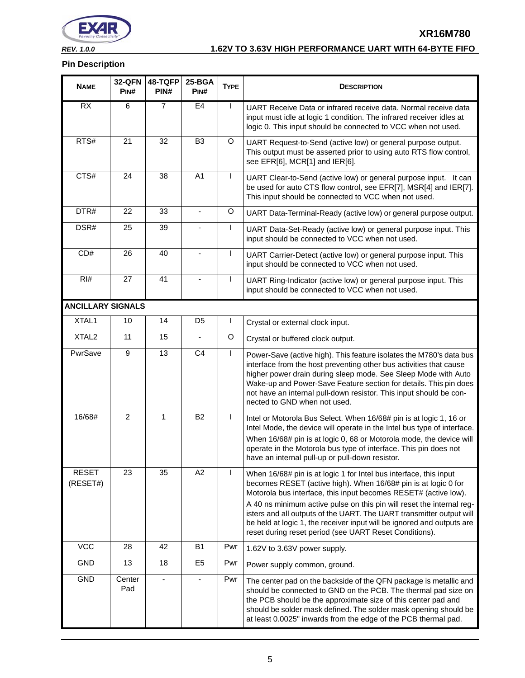

# *REV. 1.0.0* **1.62V TO 3.63V HIGH PERFORMANCE UART WITH 64-BYTE FIFO**

**XR16M780**

#### **Pin Description**

| <b>NAME</b>              | <b>32-QFN</b><br>PINH | 48-TQFP<br>PIN#              | 25-BGA<br>PIN# | <b>TYPE</b>  | <b>DESCRIPTION</b>                                                                                                                                                                                                                                                                                                                                                                                                                                                                          |
|--------------------------|-----------------------|------------------------------|----------------|--------------|---------------------------------------------------------------------------------------------------------------------------------------------------------------------------------------------------------------------------------------------------------------------------------------------------------------------------------------------------------------------------------------------------------------------------------------------------------------------------------------------|
| RX                       | 6                     | $\overline{7}$               | E4             | $\mathbf{I}$ | UART Receive Data or infrared receive data. Normal receive data<br>input must idle at logic 1 condition. The infrared receiver idles at<br>logic 0. This input should be connected to VCC when not used.                                                                                                                                                                                                                                                                                    |
| RTS#                     | 21                    | 32                           | B <sub>3</sub> | O            | UART Request-to-Send (active low) or general purpose output.<br>This output must be asserted prior to using auto RTS flow control,<br>see EFR[6], MCR[1] and IER[6].                                                                                                                                                                                                                                                                                                                        |
| CTS#                     | 24                    | 38                           | A <sub>1</sub> | $\mathsf{I}$ | UART Clear-to-Send (active low) or general purpose input. It can<br>be used for auto CTS flow control, see EFR[7], MSR[4] and IER[7].<br>This input should be connected to VCC when not used.                                                                                                                                                                                                                                                                                               |
| DTR#                     | 22                    | 33                           |                | O            | UART Data-Terminal-Ready (active low) or general purpose output.                                                                                                                                                                                                                                                                                                                                                                                                                            |
| DSR#                     | 25                    | 39                           |                | $\mathsf{I}$ | UART Data-Set-Ready (active low) or general purpose input. This<br>input should be connected to VCC when not used.                                                                                                                                                                                                                                                                                                                                                                          |
| CD#                      | 26                    | 40                           |                | L            | UART Carrier-Detect (active low) or general purpose input. This<br>input should be connected to VCC when not used.                                                                                                                                                                                                                                                                                                                                                                          |
| RI#                      | 27                    | 41                           |                | $\mathbf{I}$ | UART Ring-Indicator (active low) or general purpose input. This<br>input should be connected to VCC when not used.                                                                                                                                                                                                                                                                                                                                                                          |
| <b>ANCILLARY SIGNALS</b> |                       |                              |                |              |                                                                                                                                                                                                                                                                                                                                                                                                                                                                                             |
| XTAL1                    | 10                    | 14                           | D <sub>5</sub> | $\mathsf{l}$ | Crystal or external clock input.                                                                                                                                                                                                                                                                                                                                                                                                                                                            |
| XTAL <sub>2</sub>        | 11                    | 15                           |                | O            | Crystal or buffered clock output.                                                                                                                                                                                                                                                                                                                                                                                                                                                           |
| PwrSave                  | 9                     | 13                           | C <sub>4</sub> | L            | Power-Save (active high). This feature isolates the M780's data bus<br>interface from the host preventing other bus activities that cause<br>higher power drain during sleep mode. See Sleep Mode with Auto<br>Wake-up and Power-Save Feature section for details. This pin does<br>not have an internal pull-down resistor. This input should be con-<br>nected to GND when not used.                                                                                                      |
| 16/68#                   | $\overline{2}$        | $\mathbf{1}$                 | <b>B2</b>      | L            | Intel or Motorola Bus Select. When 16/68# pin is at logic 1, 16 or<br>Intel Mode, the device will operate in the Intel bus type of interface.<br>When 16/68# pin is at logic 0, 68 or Motorola mode, the device will<br>operate in the Motorola bus type of interface. This pin does not<br>have an internal pull-up or pull-down resistor.                                                                                                                                                 |
| <b>RESET</b><br>(RESET#) | 23                    | 35                           | A2             | $\mathsf{I}$ | When 16/68# pin is at logic 1 for Intel bus interface, this input<br>becomes RESET (active high). When 16/68# pin is at logic 0 for<br>Motorola bus interface, this input becomes RESET# (active low).<br>A 40 ns minimum active pulse on this pin will reset the internal reg-<br>isters and all outputs of the UART. The UART transmitter output will<br>be held at logic 1, the receiver input will be ignored and outputs are<br>reset during reset period (see UART Reset Conditions). |
| <b>VCC</b>               | 28                    | 42                           | <b>B1</b>      | Pwr          | 1.62V to 3.63V power supply.                                                                                                                                                                                                                                                                                                                                                                                                                                                                |
| GND                      | 13                    | 18                           | E <sub>5</sub> | Pwr          | Power supply common, ground.                                                                                                                                                                                                                                                                                                                                                                                                                                                                |
| GND                      | Center<br>Pad         | $\qquad \qquad \blacksquare$ |                | Pwr          | The center pad on the backside of the QFN package is metallic and<br>should be connected to GND on the PCB. The thermal pad size on<br>the PCB should be the approximate size of this center pad and<br>should be solder mask defined. The solder mask opening should be<br>at least 0.0025" inwards from the edge of the PCB thermal pad.                                                                                                                                                  |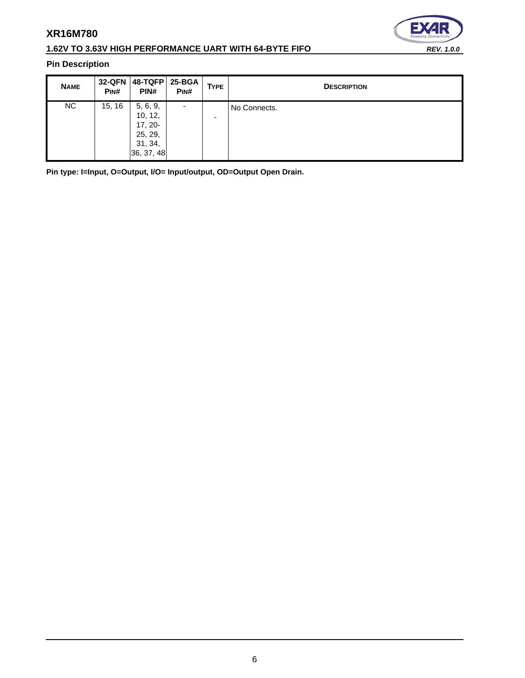

# **1.62V TO 3.63V HIGH PERFORMANCE UART WITH 64-BYTE FIFO** *REV. 1.0.0*

# **Pin Description**

| <b>NAME</b> | <b>32-QFN</b><br>PINH | $48-TQFP$<br>PIN#                                                    | 25-BGA<br>PIN#           | <b>TYPE</b> | <b>DESCRIPTION</b> |
|-------------|-----------------------|----------------------------------------------------------------------|--------------------------|-------------|--------------------|
| NC.         | 15, 16                | 5, 6, 9,<br>10, 12,<br>$17, 20-$<br>25, 29,<br>31, 34,<br>36, 37, 48 | $\overline{\phantom{a}}$ | -           | No Connects.       |

**Pin type: I=Input, O=Output, I/O= Input/output, OD=Output Open Drain.**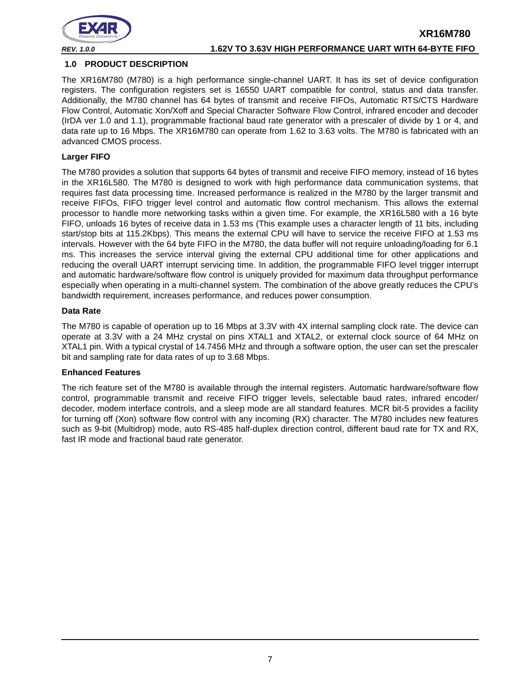

#### <span id="page-6-0"></span>**1.0 PRODUCT DESCRIPTION**

The XR16M780 (M780) is a high performance single-channel UART. It has its set of device configuration registers. The configuration registers set is 16550 UART compatible for control, status and data transfer. Additionally, the M780 channel has 64 bytes of transmit and receive FIFOs, Automatic RTS/CTS Hardware Flow Control, Automatic Xon/Xoff and Special Character Software Flow Control, infrared encoder and decoder (IrDA ver 1.0 and 1.1), programmable fractional baud rate generator with a prescaler of divide by 1 or 4, and data rate up to 16 Mbps. The XR16M780 can operate from 1.62 to 3.63 volts. The M780 is fabricated with an advanced CMOS process.

#### **Larger FIFO**

The M780 provides a solution that supports 64 bytes of transmit and receive FIFO memory, instead of 16 bytes in the XR16L580. The M780 is designed to work with high performance data communication systems, that requires fast data processing time. Increased performance is realized in the M780 by the larger transmit and receive FIFOs, FIFO trigger level control and automatic flow control mechanism. This allows the external processor to handle more networking tasks within a given time. For example, the XR16L580 with a 16 byte FIFO, unloads 16 bytes of receive data in 1.53 ms (This example uses a character length of 11 bits, including start/stop bits at 115.2Kbps). This means the external CPU will have to service the receive FIFO at 1.53 ms intervals. However with the 64 byte FIFO in the M780, the data buffer will not require unloading/loading for 6.1 ms. This increases the service interval giving the external CPU additional time for other applications and reducing the overall UART interrupt servicing time. In addition, the programmable FIFO level trigger interrupt and automatic hardware/software flow control is uniquely provided for maximum data throughput performance especially when operating in a multi-channel system. The combination of the above greatly reduces the CPU's bandwidth requirement, increases performance, and reduces power consumption.

#### **Data Rate**

The M780 is capable of operation up to 16 Mbps at 3.3V with 4X internal sampling clock rate. The device can operate at 3.3V with a 24 MHz crystal on pins XTAL1 and XTAL2, or external clock source of 64 MHz on XTAL1 pin. With a typical crystal of 14.7456 MHz and through a software option, the user can set the prescaler bit and sampling rate for data rates of up to 3.68 Mbps.

#### **Enhanced Features**

The rich feature set of the M780 is available through the internal registers. Automatic hardware/software flow control, programmable transmit and receive FIFO trigger levels, selectable baud rates, infrared encoder/ decoder, modem interface controls, and a sleep mode are all standard features. MCR bit-5 provides a facility for turning off (Xon) software flow control with any incoming (RX) character. The M780 includes new features such as 9-bit (Multidrop) mode, auto RS-485 half-duplex direction control, different baud rate for TX and RX, fast IR mode and fractional baud rate generator.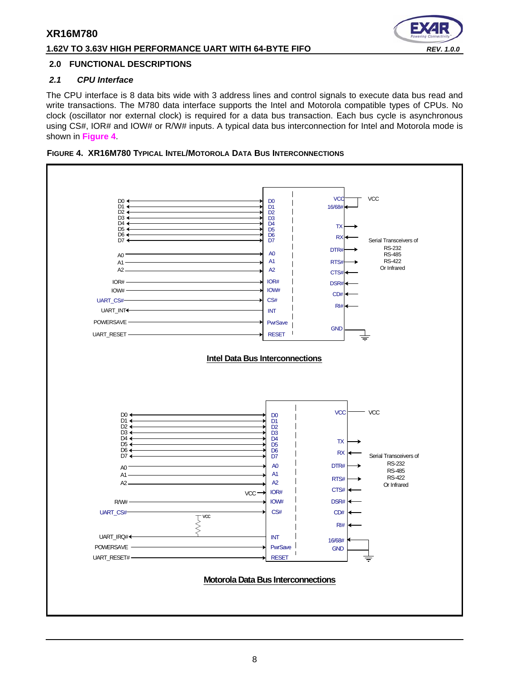# **1.62V TO 3.63V HIGH PERFORMANCE UART WITH 64-BYTE FIFO** *REV. 1.0.0*

### <span id="page-7-1"></span>**2.0 FUNCTIONAL DESCRIPTIONS**

### <span id="page-7-2"></span>*2.1 CPU Interface*

The CPU interface is 8 data bits wide with 3 address lines and control signals to execute data bus read and write transactions. The M780 data interface supports the Intel and Motorola compatible types of CPUs. No clock (oscillator nor external clock) is required for a data bus transaction. Each bus cycle is asynchronous using CS#, IOR# and IOW# or R/W# inputs. A typical data bus interconnection for Intel and Motorola mode is shown in **[Figure](#page-7-0) 4**.

<span id="page-7-0"></span>

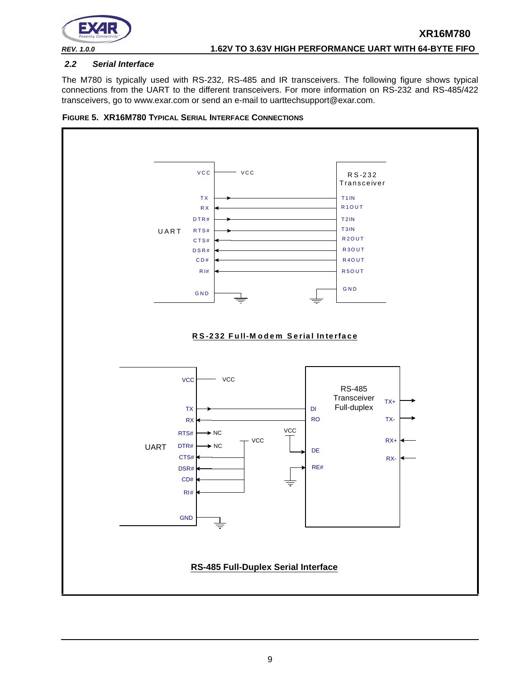

#### <span id="page-8-0"></span>*2.2 Serial Interface*

The M780 is typically used with RS-232, RS-485 and IR transceivers. The following figure shows typical connections from the UART to the different transceivers. For more information on RS-232 and RS-485/422 transceivers, go to www.exar.com or send an e-mail to uarttechsupport@exar.com.

<span id="page-8-1"></span>

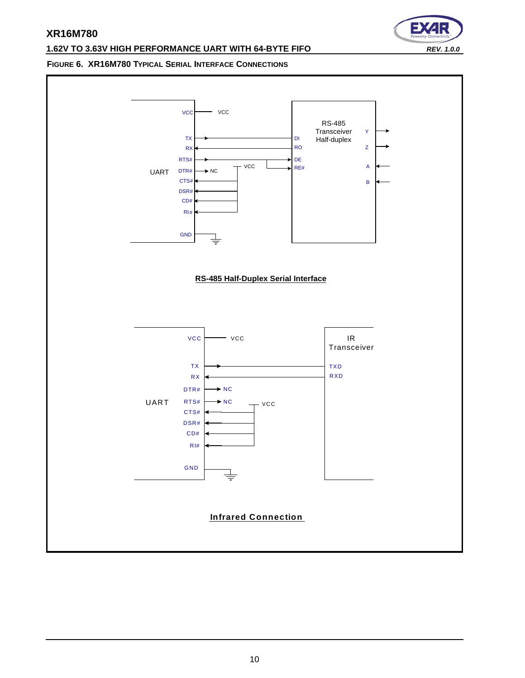#### **1.62V TO 3.63V HIGH PERFORMANCE UART WITH 64-BYTE FIFO** *REV. 1.0.0*

∍

### <span id="page-9-0"></span>**FIGURE 6. XR16M780 TYPICAL SERIAL INTERFACE CONNECTIONS**

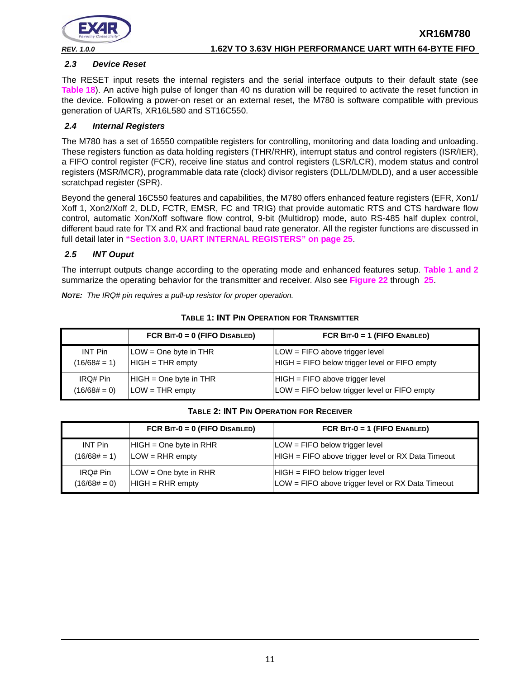

#### <span id="page-10-2"></span>*2.3 Device Reset*

The RESET input resets the internal registers and the serial interface outputs to their default state (see **[Table](#page-43-0) 18**). An active high pulse of longer than 40 ns duration will be required to activate the reset function in the device. Following a power-on reset or an external reset, the M780 is software compatible with previous generation of UARTs, XR16L580 and ST16C550.

#### <span id="page-10-3"></span>*2.4 Internal Registers*

The M780 has a set of 16550 compatible registers for controlling, monitoring and data loading and unloading. These registers function as data holding registers (THR/RHR), interrupt status and control registers (ISR/IER), a FIFO control register (FCR), receive line status and control registers (LSR/LCR), modem status and control registers (MSR/MCR), programmable data rate (clock) divisor registers (DLL/DLM/DLD), and a user accessible scratchpad register (SPR).

Beyond the general 16C550 features and capabilities, the M780 offers enhanced feature registers (EFR, Xon1/ Xoff 1, Xon2/Xoff 2, DLD, FCTR, EMSR, FC and TRIG) that provide automatic RTS and CTS hardware flow control, automatic Xon/Xoff software flow control, 9-bit (Multidrop) mode, auto RS-485 half duplex control, different baud rate for TX and RX and fractional baud rate generator. All the register functions are discussed in full detail later in **["Section 3.0, UART INTERNAL REGISTERS" on page](#page-24-0) 25**.

#### <span id="page-10-4"></span>*2.5 INT Ouput*

The interrupt outputs change according to the operating mode and enhanced features setup. **[Table](#page-10-0) 1 [and](#page-10-1) 2** summarize the operating behavior for the transmitter and receiver. Also see **[Figure](#page-49-0) 22** through **[25](#page-51-0)**.

*NOTE: The IRQ# pin requires a pull-up resistor for proper operation.*

<span id="page-10-0"></span>

|                | FCR $BIT-0 = 0$ (FIFO DISABLED) | FCR BIT-0 = 1 (FIFO ENABLED)                  |
|----------------|---------------------------------|-----------------------------------------------|
| INT Pin        | LOW = One byte in THR           | LOW = FIFO above trigger level                |
| $(16/68# = 1)$ | $HIGH = THR$ empty              | HIGH = FIFO below trigger level or FIFO empty |
| IRQ# Pin       | $HIGH = One byte in THR$        | $HIGH = FIFO above trigger level$             |
| $(16/68# = 0)$ | $LOW = THR$ empty               | LOW = FIFO below trigger level or FIFO empty  |

#### **TABLE 1: INT PIN OPERATION FOR TRANSMITTER**

#### **TABLE 2: INT PIN OPERATION FOR RECEIVER**

<span id="page-10-1"></span>

|                | FCR $BIT-0 = 0$ (FIFO DISABLED) | FCR $BIT-0 = 1$ (FIFO ENABLED)                     |
|----------------|---------------------------------|----------------------------------------------------|
| INT Pin        | HIGH = One byte in RHR          | LOW = FIFO below trigger level                     |
| $(16/68# = 1)$ | $LOW = RHR$ empty               | HIGH = FIFO above trigger level or RX Data Timeout |
| IRQ# Pin       | LOW = One byte in RHR           | HIGH = FIFO below trigger level                    |
| $(16/68# = 0)$ | $HIGH = RHR$ empty              | LOW = FIFO above trigger level or RX Data Timeout  |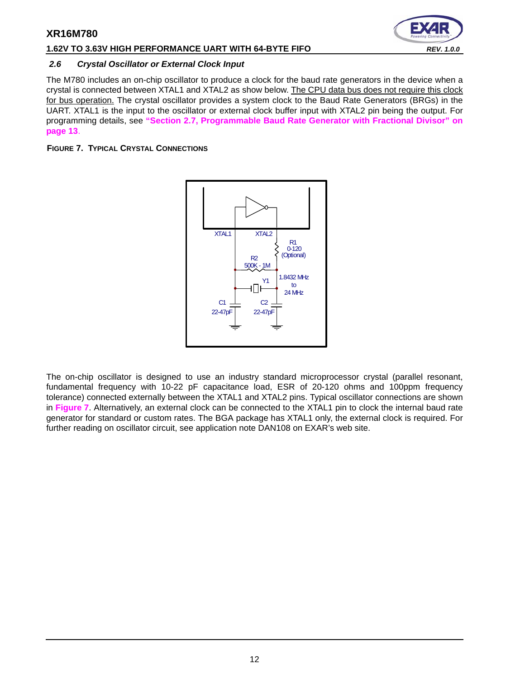## **1.62V TO 3.63V HIGH PERFORMANCE UART WITH 64-BYTE FIFO** *REV. 1.0.0*

#### <span id="page-11-1"></span>*2.6 Crystal Oscillator or External Clock Input*

The M780 includes an on-chip oscillator to produce a clock for the baud rate generators in the device when a crystal is connected between XTAL1 and XTAL2 as show below. The CPU data bus does not require this clock for bus operation. The crystal oscillator provides a system clock to the Baud Rate Generators (BRGs) in the UART. XTAL1 is the input to the oscillator or external clock buffer input with XTAL2 pin being the output. For programming details, see **["Section 2.7, Programmable Baud Rate Generator with Fractional Divisor" on](#page-12-0)  [page](#page-12-0) 13**.

<span id="page-11-0"></span>**FIGURE 7. TYPICAL CRYSTAL CONNECTIONS**



The on-chip oscillator is designed to use an industry standard microprocessor crystal (parallel resonant, fundamental frequency with 10-22 pF capacitance load, ESR of 20-120 ohms and 100ppm frequency tolerance) connected externally between the XTAL1 and XTAL2 pins. Typical oscillator connections are shown in **[Figure](#page-11-0) 7**. Alternatively, an external clock can be connected to the XTAL1 pin to clock the internal baud rate generator for standard or custom rates. The BGA package has XTAL1 only, the external clock is required. For further reading on oscillator circuit, see application note DAN108 on EXAR's web site.

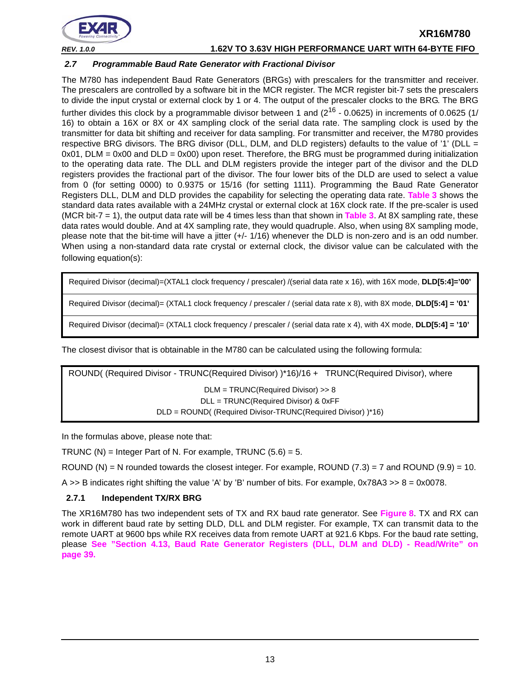

*REV. 1.0.0* **1.62V TO 3.63V HIGH PERFORMANCE UART WITH 64-BYTE FIFO**

#### <span id="page-12-0"></span>*2.7 Programmable Baud Rate Generator with Fractional Divisor*

The M780 has independent Baud Rate Generators (BRGs) with prescalers for the transmitter and receiver. The prescalers are controlled by a software bit in the MCR register. The MCR register bit-7 sets the prescalers to divide the input crystal or external clock by 1 or 4. The output of the prescaler clocks to the BRG. The BRG further divides this clock by a programmable divisor between 1 and  $(2^{16} - 0.0625)$  in increments of 0.0625 (1/ 16) to obtain a 16X or 8X or 4X sampling clock of the serial data rate. The sampling clock is used by the transmitter for data bit shifting and receiver for data sampling. For transmitter and receiver, the M780 provides respective BRG divisors. The BRG divisor (DLL, DLM, and DLD registers) defaults to the value of '1' (DLL =  $0x01$ , DLM =  $0x00$  and DLD =  $0x00$ ) upon reset. Therefore, the BRG must be programmed during initialization to the operating data rate. The DLL and DLM registers provide the integer part of the divisor and the DLD registers provides the fractional part of the divisor. The four lower bits of the DLD are used to select a value from 0 (for setting 0000) to 0.9375 or 15/16 (for setting 1111). Programming the Baud Rate Generator Registers DLL, DLM and DLD provides the capability for selecting the operating data rate. **[Table](#page-13-1) 3** shows the standard data rates available with a 24MHz crystal or external clock at 16X clock rate. If the pre-scaler is used (MCR bit-7 = 1), the output data rate will be 4 times less than that shown in **[Table](#page-13-1) 3**. At 8X sampling rate, these data rates would double. And at 4X sampling rate, they would quadruple. Also, when using 8X sampling mode, please note that the bit-time will have a jitter (+/- 1/16) whenever the DLD is non-zero and is an odd number. When using a non-standard data rate crystal or external clock, the divisor value can be calculated with the following equation(s):

Required Divisor (decimal)=(XTAL1 clock frequency / prescaler) /(serial data rate x 16), with 16X mode, **DLD[5:4]='00'**

Required Divisor (decimal)= (XTAL1 clock frequency / prescaler / (serial data rate x 8), with 8X mode, **DLD[5:4] = '01'**

Required Divisor (decimal)= (XTAL1 clock frequency / prescaler / (serial data rate x 4), with 4X mode, **DLD[5:4] = '10'**

The closest divisor that is obtainable in the M780 can be calculated using the following formula:

ROUND( (Required Divisor - TRUNC(Required Divisor) )\*16)/16 + TRUNC(Required Divisor), where DLM = TRUNC(Required Divisor) >> 8 DLL = TRUNC(Required Divisor) & 0xFF DLD = ROUND( (Required Divisor-TRUNC(Required Divisor) )\*16)

In the formulas above, please note that:

TRUNC (N) = Integer Part of N. For example, TRUNC  $(5.6) = 5$ .

ROUND (N) = N rounded towards the closest integer. For example, ROUND  $(7.3)$  = 7 and ROUND  $(9.9)$  = 10.

A  $>>$  B indicates right shifting the value 'A' by 'B' number of bits. For example, 0x78A3  $>> 8 = 0x0078$ .

#### <span id="page-12-1"></span>**2.7.1 Independent TX/RX BRG**

The XR16M780 has two independent sets of TX and RX baud rate generator. See **[Figure](#page-13-0) 8**. TX and RX can work in different baud rate by setting DLD, DLL and DLM register. For example, TX can transmit data to the remote UART at 9600 bps while RX receives data from remote UART at 921.6 Kbps. For the baud rate setting, please **[See "Section 4.13, Baud Rate Generator Registers \(DLL, DLM and DLD\) - Read/Write" on](#page-38-0)  [page](#page-38-0) 39.**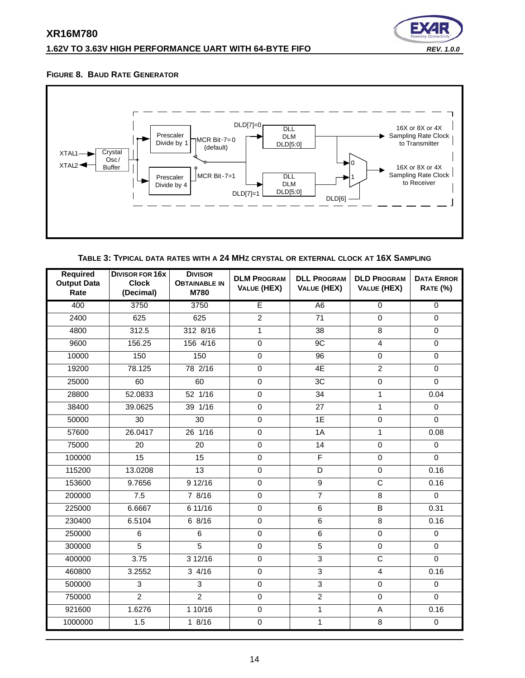# **1.62V TO 3.63V HIGH PERFORMANCE UART WITH 64-BYTE FIFO** *REV. 1.0.0*



#### <span id="page-13-0"></span>**FIGURE 8. BAUD RATE GENERATOR**



**TABLE 3: TYPICAL DATA RATES WITH A 24 MHZ CRYSTAL OR EXTERNAL CLOCK AT 16X SAMPLING**

<span id="page-13-1"></span>

| <b>Required</b><br><b>Output Data</b><br>Rate | <b>DIVISOR FOR 16X</b><br><b>Clock</b><br>(Decimal) | <b>DIVISOR</b><br><b>OBTAINABLE IN</b><br>M780 | <b>DLM PROGRAM</b><br><b>VALUE (HEX)</b> | <b>DLL PROGRAM</b><br>VALUE (HEX) | <b>DLD PROGRAM</b><br><b>VALUE (HEX)</b> | <b>DATA ERROR</b><br><b>RATE (%)</b> |
|-----------------------------------------------|-----------------------------------------------------|------------------------------------------------|------------------------------------------|-----------------------------------|------------------------------------------|--------------------------------------|
| 400                                           | 3750                                                | 3750                                           | Έ                                        | A <sub>6</sub>                    | $\overline{0}$                           | $\overline{0}$                       |
| 2400                                          | 625                                                 | 625                                            | $\overline{2}$                           | 71                                | $\mathbf 0$                              | $\mathbf 0$                          |
| 4800                                          | 312.5                                               | 312 8/16                                       | $\mathbf{1}$                             | 38                                | 8                                        | $\Omega$                             |
| 9600                                          | 156.25                                              | 156 4/16                                       | $\overline{0}$                           | 9C                                | $\overline{4}$                           | $\overline{0}$                       |
| 10000                                         | 150                                                 | 150                                            | $\mathsf 0$                              | 96                                | $\pmb{0}$                                | $\mathsf 0$                          |
| 19200                                         | 78.125                                              | 78 2/16                                        | $\overline{0}$                           | 4E                                | $\overline{2}$                           | $\mathbf 0$                          |
| 25000                                         | 60                                                  | 60                                             | $\mathsf 0$                              | 3C                                | $\pmb{0}$                                | $\mathbf 0$                          |
| 28800                                         | 52.0833                                             | 52 1/16                                        | $\mathsf 0$                              | 34                                | $\mathbf 1$                              | 0.04                                 |
| 38400                                         | 39.0625                                             | 39 1/16                                        | $\mathbf 0$                              | 27                                | 1                                        | $\Omega$                             |
| 50000                                         | 30                                                  | 30                                             | $\overline{0}$                           | 1E                                | $\overline{0}$                           | $\mathbf 0$                          |
| 57600                                         | 26.0417                                             | 26 1/16                                        | $\mathsf 0$                              | 1A                                | 1                                        | 0.08                                 |
| 75000                                         | 20                                                  | 20                                             | $\mathbf 0$                              | 14                                | $\mathbf 0$                              | $\Omega$                             |
| 100000                                        | $\overline{15}$                                     | 15                                             | $\mathbf 0$                              | F                                 | $\mathbf 0$                              | $\mathbf 0$                          |
| 115200                                        | 13.0208                                             | 13                                             | $\mathsf 0$                              | D                                 | $\mathbf 0$                              | 0.16                                 |
| 153600                                        | 9.7656                                              | 9 12/16                                        | 0                                        | $\overline{9}$                    | $\overline{\mathsf{C}}$                  | 0.16                                 |
| 200000                                        | 7.5                                                 | 7 8/16                                         | $\mathbf 0$                              | $\overline{7}$                    | 8                                        | $\mathbf 0$                          |
| 225000                                        | 6.6667                                              | 6 11/16                                        | $\pmb{0}$                                | 6                                 | $\sf B$                                  | 0.31                                 |
| 230400                                        | 6.5104                                              | 68/16                                          | $\mathbf 0$                              | $\overline{6}$                    | 8                                        | 0.16                                 |
| 250000                                        | $\overline{6}$                                      | 6                                              | $\overline{0}$                           | $\overline{6}$                    | $\overline{0}$                           | $\overline{0}$                       |
| 300000                                        | 5                                                   | $\overline{5}$                                 | $\mathsf 0$                              | 5                                 | $\mathbf 0$                              | $\mathbf 0$                          |
| 400000                                        | 3.75                                                | 312/16                                         | 0                                        | 3                                 | $\overline{\mathsf{C}}$                  | $\Omega$                             |
| 460800                                        | 3.2552                                              | 34/16                                          | $\mathsf 0$                              | $\overline{3}$                    | $\overline{\mathbf{4}}$                  | 0.16                                 |
| 500000                                        | 3                                                   | 3                                              | $\mathbf 0$                              | $\overline{3}$                    | $\mathbf 0$                              | $\mathbf 0$                          |
| 750000                                        | $\overline{2}$                                      | $\overline{2}$                                 | 0                                        | $\overline{2}$                    | $\Omega$                                 | $\mathbf 0$                          |
| 921600                                        | 1.6276                                              | 110/16                                         | $\overline{0}$                           | $\mathbf{1}$                      | A                                        | 0.16                                 |
| 1000000                                       | 1.5                                                 | 18/16                                          | $\mathsf 0$                              | $\mathbf{1}$                      | 8                                        | $\mathsf{O}\xspace$                  |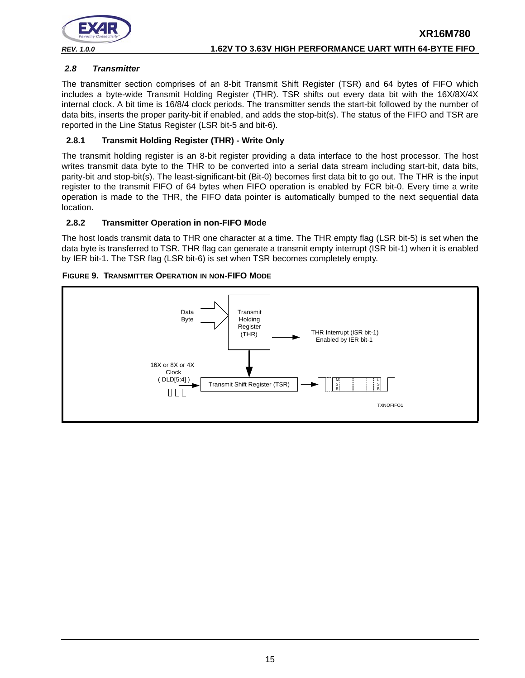

### <span id="page-14-0"></span>*2.8 Transmitter*

The transmitter section comprises of an 8-bit Transmit Shift Register (TSR) and 64 bytes of FIFO which includes a byte-wide Transmit Holding Register (THR). TSR shifts out every data bit with the 16X/8X/4X internal clock. A bit time is 16/8/4 clock periods. The transmitter sends the start-bit followed by the number of data bits, inserts the proper parity-bit if enabled, and adds the stop-bit(s). The status of the FIFO and TSR are reported in the Line Status Register (LSR bit-5 and bit-6).

## <span id="page-14-1"></span>**2.8.1 Transmit Holding Register (THR) - Write Only**

The transmit holding register is an 8-bit register providing a data interface to the host processor. The host writes transmit data byte to the THR to be converted into a serial data stream including start-bit, data bits, parity-bit and stop-bit(s). The least-significant-bit (Bit-0) becomes first data bit to go out. The THR is the input register to the transmit FIFO of 64 bytes when FIFO operation is enabled by FCR bit-0. Every time a write operation is made to the THR, the FIFO data pointer is automatically bumped to the next sequential data location.

#### <span id="page-14-2"></span>**2.8.2 Transmitter Operation in non-FIFO Mode**

The host loads transmit data to THR one character at a time. The THR empty flag (LSR bit-5) is set when the data byte is transferred to TSR. THR flag can generate a transmit empty interrupt (ISR bit-1) when it is enabled by IER bit-1. The TSR flag (LSR bit-6) is set when TSR becomes completely empty.

<span id="page-14-3"></span>

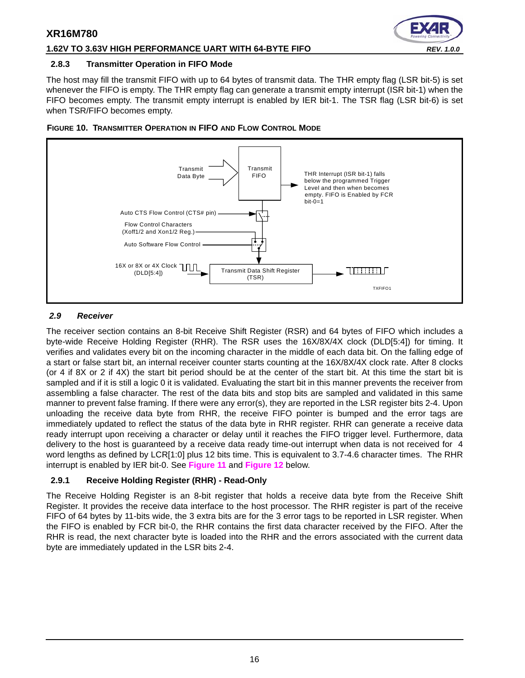### **1.62V TO 3.63V HIGH PERFORMANCE UART WITH 64-BYTE FIFO** *REV. 1.0.0*

#### <span id="page-15-1"></span>**2.8.3 Transmitter Operation in FIFO Mode**

The host may fill the transmit FIFO with up to 64 bytes of transmit data. The THR empty flag (LSR bit-5) is set whenever the FIFO is empty. The THR empty flag can generate a transmit empty interrupt (ISR bit-1) when the FIFO becomes empty. The transmit empty interrupt is enabled by IER bit-1. The TSR flag (LSR bit-6) is set when TSR/FIFO becomes empty.



#### <span id="page-15-2"></span>**FIGURE 10. TRANSMITTER OPERATION IN FIFO AND FLOW CONTROL MODE**

#### <span id="page-15-0"></span>*2.9 Receiver*

The receiver section contains an 8-bit Receive Shift Register (RSR) and 64 bytes of FIFO which includes a byte-wide Receive Holding Register (RHR). The RSR uses the 16X/8X/4X clock (DLD[5:4]) for timing. It verifies and validates every bit on the incoming character in the middle of each data bit. On the falling edge of a start or false start bit, an internal receiver counter starts counting at the 16X/8X/4X clock rate. After 8 clocks (or 4 if 8X or 2 if 4X) the start bit period should be at the center of the start bit. At this time the start bit is sampled and if it is still a logic 0 it is validated. Evaluating the start bit in this manner prevents the receiver from assembling a false character. The rest of the data bits and stop bits are sampled and validated in this same manner to prevent false framing. If there were any error(s), they are reported in the LSR register bits 2-4. Upon unloading the receive data byte from RHR, the receive FIFO pointer is bumped and the error tags are immediately updated to reflect the status of the data byte in RHR register. RHR can generate a receive data ready interrupt upon receiving a character or delay until it reaches the FIFO trigger level. Furthermore, data delivery to the host is guaranteed by a receive data ready time-out interrupt when data is not received for 4 word lengths as defined by LCR[1:0] plus 12 bits time. This is equivalent to 3.7-4.6 character times. The RHR interrupt is enabled by IER bit-0. See **[Figure](#page-16-0) 11** and **[Figure](#page-16-1) 12** below.

# <span id="page-15-3"></span>**2.9.1 Receive Holding Register (RHR) - Read-Only**

The Receive Holding Register is an 8-bit register that holds a receive data byte from the Receive Shift Register. It provides the receive data interface to the host processor. The RHR register is part of the receive FIFO of 64 bytes by 11-bits wide, the 3 extra bits are for the 3 error tags to be reported in LSR register. When the FIFO is enabled by FCR bit-0, the RHR contains the first data character received by the FIFO. After the RHR is read, the next character byte is loaded into the RHR and the errors associated with the current data byte are immediately updated in the LSR bits 2-4.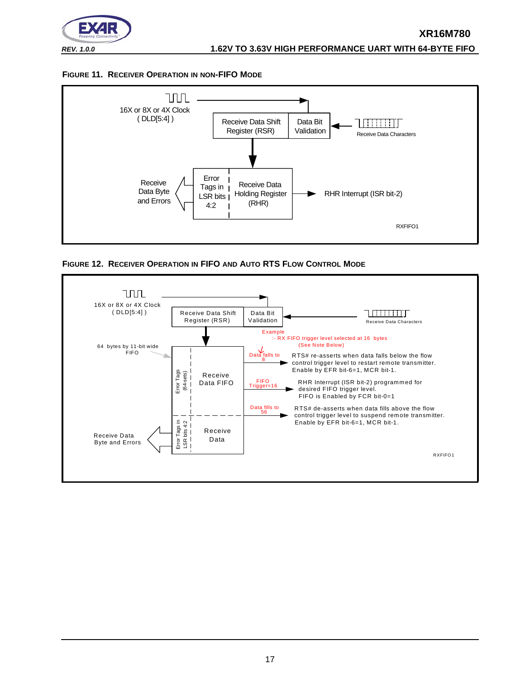

#### <span id="page-16-0"></span>**FIGURE 11. RECEIVER OPERATION IN NON-FIFO MODE**



<span id="page-16-1"></span>

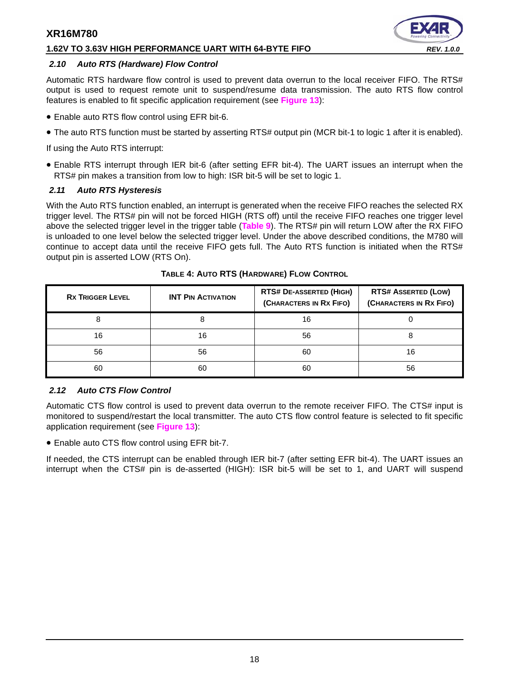#### **1.62V TO 3.63V HIGH PERFORMANCE UART WITH 64-BYTE FIFO** *REV. 1.0.0*

#### <span id="page-17-0"></span>*2.10 Auto RTS (Hardware) Flow Control*

Automatic RTS hardware flow control is used to prevent data overrun to the local receiver FIFO. The RTS# output is used to request remote unit to suspend/resume data transmission. The auto RTS flow control features is enabled to fit specific application requirement (see **[Figure](#page-18-0) 13**):

- Enable auto RTS flow control using EFR bit-6.
- The auto RTS function must be started by asserting RTS# output pin (MCR bit-1 to logic 1 after it is enabled).

If using the Auto RTS interrupt:

• Enable RTS interrupt through IER bit-6 (after setting EFR bit-4). The UART issues an interrupt when the RTS# pin makes a transition from low to high: ISR bit-5 will be set to logic 1.

## <span id="page-17-1"></span>*2.11 Auto RTS Hysteresis*

With the Auto RTS function enabled, an interrupt is generated when the receive FIFO reaches the selected RX trigger level. The RTS# pin will not be forced HIGH (RTS off) until the receive FIFO reaches one trigger level above the selected trigger level in the trigger table (**[Table](#page-31-0) 9**). The RTS# pin will return LOW after the RX FIFO is unloaded to one level below the selected trigger level. Under the above described conditions, the M780 will continue to accept data until the receive FIFO gets full. The Auto RTS function is initiated when the RTS# output pin is asserted LOW (RTS On).

<span id="page-17-2"></span>

| <b>RX TRIGGER LEVEL</b> | <b>INT PIN ACTIVATION</b> | <b>RTS# DE-ASSERTED (HIGH)</b><br>(CHARACTERS IN RX FIFO) | <b>RTS# ASSERTED (LOW)</b><br>(CHARACTERS IN RX FIFO) |
|-------------------------|---------------------------|-----------------------------------------------------------|-------------------------------------------------------|
|                         |                           | 16                                                        |                                                       |
| 16                      | 16                        | 56                                                        |                                                       |
| 56                      | 56                        | 60                                                        | 16                                                    |
| 60                      | 60                        | 60                                                        | 56                                                    |

**TABLE 4: AUTO RTS (HARDWARE) FLOW CONTROL**

# <span id="page-17-3"></span>*2.12 Auto CTS Flow Control*

Automatic CTS flow control is used to prevent data overrun to the remote receiver FIFO. The CTS# input is monitored to suspend/restart the local transmitter. The auto CTS flow control feature is selected to fit specific application requirement (see **[Figure](#page-18-0) 13**):

• Enable auto CTS flow control using EFR bit-7.

If needed, the CTS interrupt can be enabled through IER bit-7 (after setting EFR bit-4). The UART issues an interrupt when the CTS# pin is de-asserted (HIGH): ISR bit-5 will be set to 1, and UART will suspend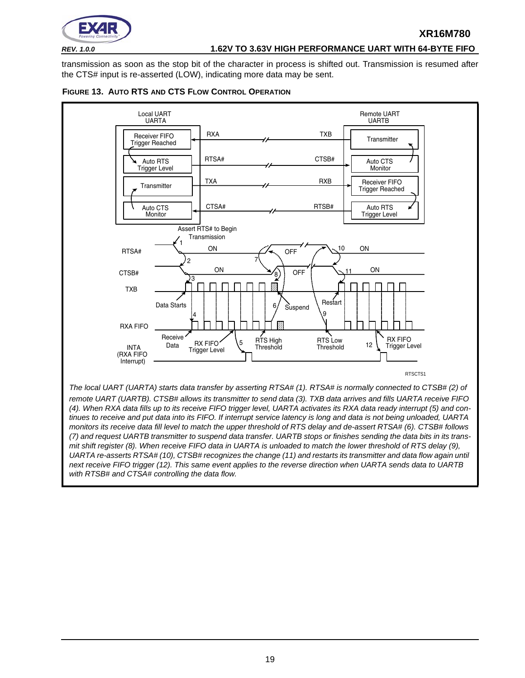

## *REV. 1.0.0* **1.62V TO 3.63V HIGH PERFORMANCE UART WITH 64-BYTE FIFO**

**XR16M780**

transmission as soon as the stop bit of the character in process is shifted out. Transmission is resumed after the CTS# input is re-asserted (LOW), indicating more data may be sent.

<span id="page-18-0"></span>



19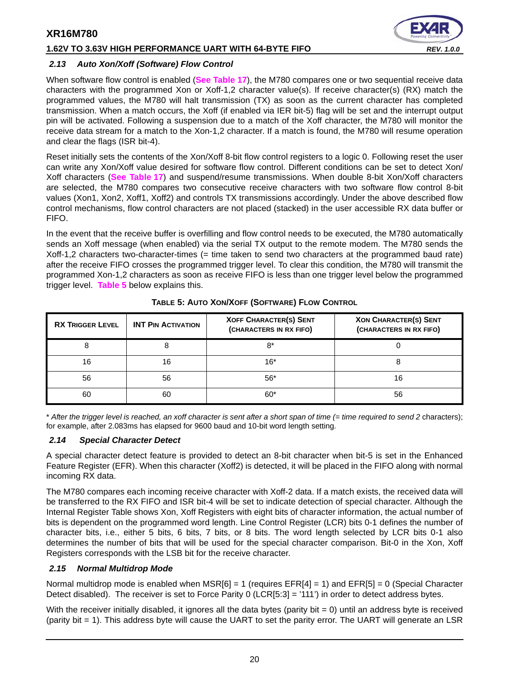## **1.62V TO 3.63V HIGH PERFORMANCE UART WITH 64-BYTE FIFO** *REV. 1.0.0*



#### <span id="page-19-2"></span>*2.13 Auto Xon/Xoff (Software) Flow Control*

When software flow control is enabled (**[See Table](#page-41-0) 17**), the M780 compares one or two sequential receive data characters with the programmed Xon or Xoff-1,2 character value(s). If receive character(s) (RX) match the programmed values, the M780 will halt transmission (TX) as soon as the current character has completed transmission. When a match occurs, the Xoff (if enabled via IER bit-5) flag will be set and the interrupt output pin will be activated. Following a suspension due to a match of the Xoff character, the M780 will monitor the receive data stream for a match to the Xon-1,2 character. If a match is found, the M780 will resume operation and clear the flags (ISR bit-4).

Reset initially sets the contents of the Xon/Xoff 8-bit flow control registers to a logic 0. Following reset the user can write any Xon/Xoff value desired for software flow control. Different conditions can be set to detect Xon/ Xoff characters (**[See Table](#page-41-0) 17**) and suspend/resume transmissions. When double 8-bit Xon/Xoff characters are selected, the M780 compares two consecutive receive characters with two software flow control 8-bit values (Xon1, Xon2, Xoff1, Xoff2) and controls TX transmissions accordingly. Under the above described flow control mechanisms, flow control characters are not placed (stacked) in the user accessible RX data buffer or FIFO.

In the event that the receive buffer is overfilling and flow control needs to be executed, the M780 automatically sends an Xoff message (when enabled) via the serial TX output to the remote modem. The M780 sends the Xoff-1,2 characters two-character-times (= time taken to send two characters at the programmed baud rate) after the receive FIFO crosses the programmed trigger level. To clear this condition, the M780 will transmit the programmed Xon-1,2 characters as soon as receive FIFO is less than one trigger level below the programmed trigger level. **[Table](#page-19-0) 5** below explains this.

<span id="page-19-0"></span>

| <b>RX TRIGGER LEVEL</b> | <b>INT PIN ACTIVATION</b> | <b>XOFF CHARACTER(S) SENT</b><br>(CHARACTERS IN RX FIFO) | <b>XON CHARACTER(S) SENT</b><br>(CHARACTERS IN RX FIFO) |
|-------------------------|---------------------------|----------------------------------------------------------|---------------------------------------------------------|
|                         | 8                         | 8*                                                       |                                                         |
| 16                      | 16                        | $16*$                                                    |                                                         |
| 56                      | 56                        | $56*$                                                    |                                                         |
| 60                      | 60                        | $60*$                                                    | 56                                                      |

#### **TABLE 5: AUTO XON/XOFF (SOFTWARE) FLOW CONTROL**

\* *After the trigger level is reached, an xoff character is sent after a short span of time (= time required to send 2* characters); for example, after 2.083ms has elapsed for 9600 baud and 10-bit word length setting.

#### <span id="page-19-3"></span>*2.14 Special Character Detect*

A special character detect feature is provided to detect an 8-bit character when bit-5 is set in the Enhanced Feature Register (EFR). When this character (Xoff2) is detected, it will be placed in the FIFO along with normal incoming RX data.

The M780 compares each incoming receive character with Xoff-2 data. If a match exists, the received data will be transferred to the RX FIFO and ISR bit-4 will be set to indicate detection of special character. Although the Internal Register Table shows Xon, Xoff Registers with eight bits of character information, the actual number of bits is dependent on the programmed word length. Line Control Register (LCR) bits 0-1 defines the number of character bits, i.e., either 5 bits, 6 bits, 7 bits, or 8 bits. The word length selected by LCR bits 0-1 also determines the number of bits that will be used for the special character comparison. Bit-0 in the Xon, Xoff Registers corresponds with the LSB bit for the receive character.

#### <span id="page-19-1"></span>*2.15 Normal Multidrop Mode*

Normal multidrop mode is enabled when  $MSR[6] = 1$  (requires  $EFR[4] = 1$ ) and  $EFR[5] = 0$  (Special Character Detect disabled). The receiver is set to Force Parity 0 (LCR[5:3] = '111') in order to detect address bytes.

With the receiver initially disabled, it ignores all the data bytes (parity bit  $= 0$ ) until an address byte is received (parity bit = 1). This address byte will cause the UART to set the parity error. The UART will generate an LSR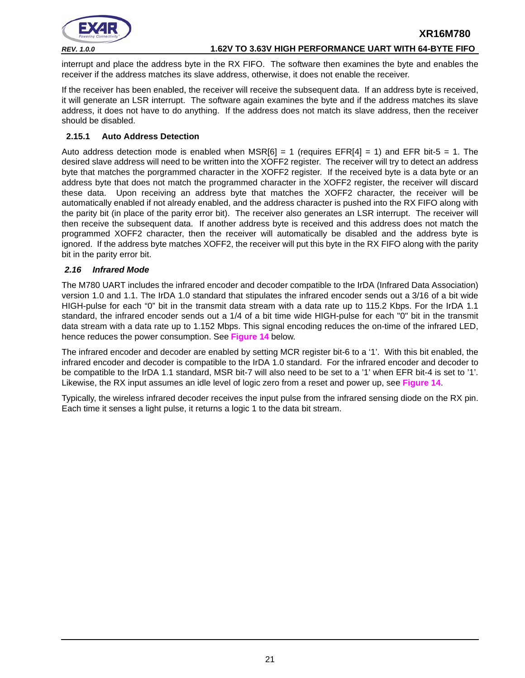

#### *REV. 1.0.0* **1.62V TO 3.63V HIGH PERFORMANCE UART WITH 64-BYTE FIFO**

interrupt and place the address byte in the RX FIFO. The software then examines the byte and enables the receiver if the address matches its slave address, otherwise, it does not enable the receiver.

If the receiver has been enabled, the receiver will receive the subsequent data. If an address byte is received, it will generate an LSR interrupt. The software again examines the byte and if the address matches its slave address, it does not have to do anything. If the address does not match its slave address, then the receiver should be disabled.

### <span id="page-20-1"></span>**2.15.1 Auto Address Detection**

Auto address detection mode is enabled when MSR[6] = 1 (requires EFR[4] = 1) and EFR bit-5 = 1. The desired slave address will need to be written into the XOFF2 register. The receiver will try to detect an address byte that matches the porgrammed character in the XOFF2 register. If the received byte is a data byte or an address byte that does not match the programmed character in the XOFF2 register, the receiver will discard these data. Upon receiving an address byte that matches the XOFF2 character, the receiver will be automatically enabled if not already enabled, and the address character is pushed into the RX FIFO along with the parity bit (in place of the parity error bit). The receiver also generates an LSR interrupt. The receiver will then receive the subsequent data. If another address byte is received and this address does not match the programmed XOFF2 character, then the receiver will automatically be disabled and the address byte is ignored. If the address byte matches XOFF2, the receiver will put this byte in the RX FIFO along with the parity bit in the parity error bit.

#### <span id="page-20-0"></span>*2.16 Infrared Mode*

The M780 UART includes the infrared encoder and decoder compatible to the IrDA (Infrared Data Association) version 1.0 and 1.1. The IrDA 1.0 standard that stipulates the infrared encoder sends out a 3/16 of a bit wide HIGH-pulse for each "0" bit in the transmit data stream with a data rate up to 115.2 Kbps. For the IrDA 1.1 standard, the infrared encoder sends out a 1/4 of a bit time wide HIGH-pulse for each "0" bit in the transmit data stream with a data rate up to 1.152 Mbps. This signal encoding reduces the on-time of the infrared LED, hence reduces the power consumption. See **[Figure](#page-21-0) 14** below.

The infrared encoder and decoder are enabled by setting MCR register bit-6 to a '1'. With this bit enabled, the infrared encoder and decoder is compatible to the IrDA 1.0 standard. For the infrared encoder and decoder to be compatible to the IrDA 1.1 standard, MSR bit-7 will also need to be set to a '1' when EFR bit-4 is set to '1'. Likewise, the RX input assumes an idle level of logic zero from a reset and power up, see **[Figure](#page-21-0) 14**.

Typically, the wireless infrared decoder receives the input pulse from the infrared sensing diode on the RX pin. Each time it senses a light pulse, it returns a logic 1 to the data bit stream.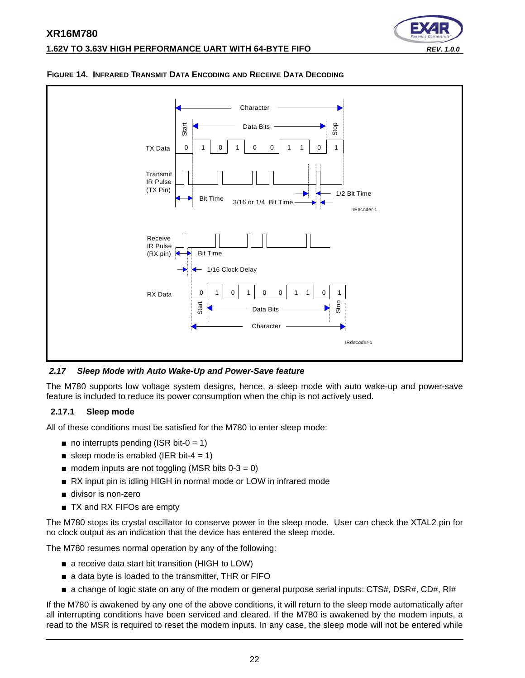



#### <span id="page-21-0"></span>**FIGURE 14. INFRARED TRANSMIT DATA ENCODING AND RECEIVE DATA DECODING**

<span id="page-21-1"></span>*2.17 Sleep Mode with Auto Wake-Up and Power-Save feature*

The M780 supports low voltage system designs, hence, a sleep mode with auto wake-up and power-save feature is included to reduce its power consumption when the chip is not actively used.

#### <span id="page-21-2"></span>**2.17.1 Sleep mode**

All of these conditions must be satisfied for the M780 to enter sleep mode:

- $\blacksquare$  no interrupts pending (ISR bit-0 = 1)
- sleep mode is enabled (IER bit-4 = 1)
- $\blacksquare$  modem inputs are not toggling (MSR bits 0-3 = 0)
- RX input pin is idling HIGH in normal mode or LOW in infrared mode
- divisor is non-zero
- TX and RX FIFOs are empty

The M780 stops its crystal oscillator to conserve power in the sleep mode. User can check the XTAL2 pin for no clock output as an indication that the device has entered the sleep mode.

The M780 resumes normal operation by any of the following:

- a receive data start bit transition (HIGH to LOW)
- a data byte is loaded to the transmitter, THR or FIFO
- a change of logic state on any of the modem or general purpose serial inputs: CTS#, DSR#, CD#, RI#

If the M780 is awakened by any one of the above conditions, it will return to the sleep mode automatically after all interrupting conditions have been serviced and cleared. If the M780 is awakened by the modem inputs, a read to the MSR is required to reset the modem inputs. In any case, the sleep mode will not be entered while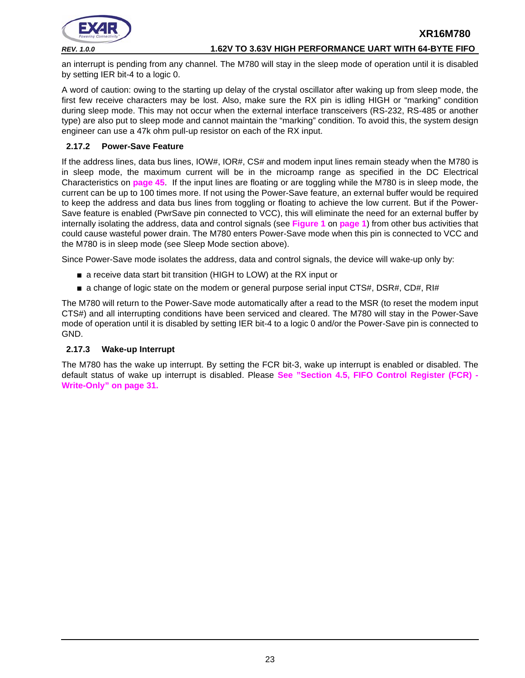

*REV. 1.0.0* **1.62V TO 3.63V HIGH PERFORMANCE UART WITH 64-BYTE FIFO**

an interrupt is pending from any channel. The M780 will stay in the sleep mode of operation until it is disabled by setting IER bit-4 to a logic 0.

A word of caution: owing to the starting up delay of the crystal oscillator after waking up from sleep mode, the first few receive characters may be lost. Also, make sure the RX pin is idling HIGH or "marking" condition during sleep mode. This may not occur when the external interface transceivers (RS-232, RS-485 or another type) are also put to sleep mode and cannot maintain the "marking" condition. To avoid this, the system design engineer can use a 47k ohm pull-up resistor on each of the RX input.

#### <span id="page-22-1"></span>**2.17.2 Power-Save Feature**

If the address lines, data bus lines, IOW#, IOR#, CS# and modem input lines remain steady when the M780 is in sleep mode, the maximum current will be in the microamp range as specified in the DC Electrical Characteristics on **[page](#page-44-0) 45**. If the input lines are floating or are toggling while the M780 is in sleep mode, the current can be up to 100 times more. If not using the Power-Save feature, an external buffer would be required to keep the address and data bus lines from toggling or floating to achieve the low current. But if the Power-Save feature is enabled (PwrSave pin connected to VCC), this will eliminate the need for an external buffer by internally isolating the address, data and control signals (see **[Figure](#page-0-0) 1** on **[page](#page-0-1) 1**) from other bus activities that could cause wasteful power drain. The M780 enters Power-Save mode when this pin is connected to VCC and the M780 is in sleep mode (see Sleep Mode section above).

Since Power-Save mode isolates the address, data and control signals, the device will wake-up only by:

- a receive data start bit transition (HIGH to LOW) at the RX input or
- a change of logic state on the modem or general purpose serial input CTS#, DSR#, CD#, RI#

The M780 will return to the Power-Save mode automatically after a read to the MSR (to reset the modem input CTS#) and all interrupting conditions have been serviced and cleared. The M780 will stay in the Power-Save mode of operation until it is disabled by setting IER bit-4 to a logic 0 and/or the Power-Save pin is connected to GND.

#### <span id="page-22-0"></span>**2.17.3 Wake-up Interrupt**

The M780 has the wake up interrupt. By setting the FCR bit-3, wake up interrupt is enabled or disabled. The default status of wake up interrupt is disabled. Please **[See "Section 4.5, FIFO Control Register \(FCR\) -](#page-30-0) [Write-Only" on page](#page-30-0) 31.**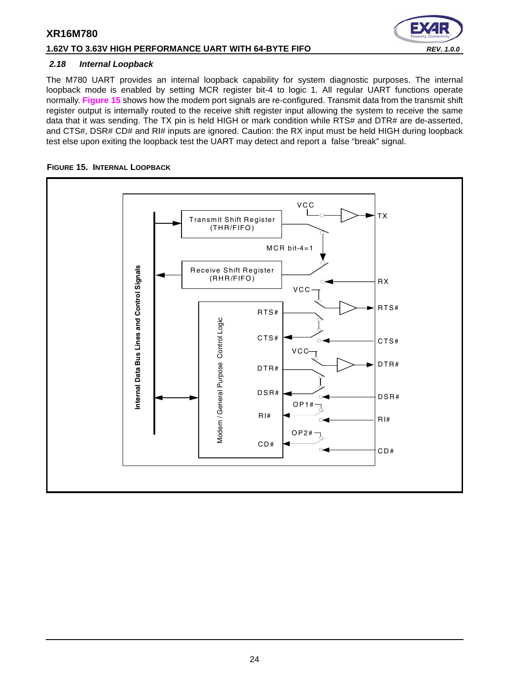# **1.62V TO 3.63V HIGH PERFORMANCE UART WITH 64-BYTE FIFO** *REV. 1.0.0*

#### <span id="page-23-1"></span>*2.18 Internal Loopback*

The M780 UART provides an internal loopback capability for system diagnostic purposes. The internal loopback mode is enabled by setting MCR register bit-4 to logic 1. All regular UART functions operate normally. **[Figure](#page-23-0) 15** shows how the modem port signals are re-configured. Transmit data from the transmit shift register output is internally routed to the receive shift register input allowing the system to receive the same data that it was sending. The TX pin is held HIGH or mark condition while RTS# and DTR# are de-asserted, and CTS#, DSR# CD# and RI# inputs are ignored. Caution: the RX input must be held HIGH during loopback test else upon exiting the loopback test the UART may detect and report a false "break" signal.

#### <span id="page-23-0"></span>**FIGURE 15. INTERNAL LOOPBACK**

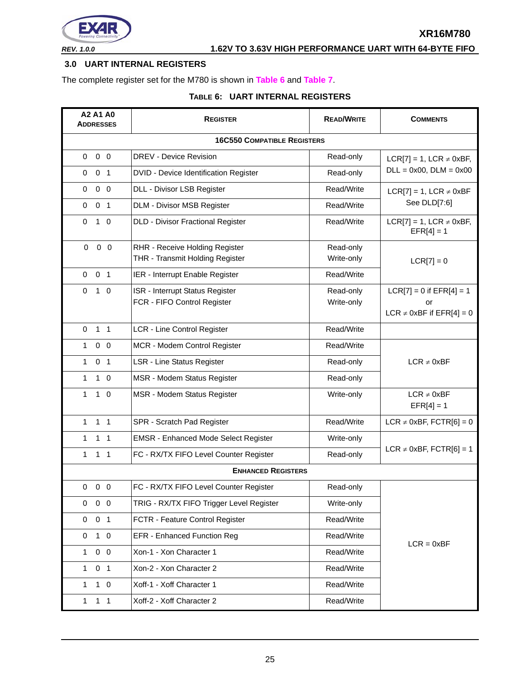

# <span id="page-24-0"></span>**3.0 UART INTERNAL REGISTERS**

The complete register set for the M780 is shown in **[Table](#page-24-1) 6** and **[Table](#page-25-0) 7**.

# **TABLE 6: UART INTERNAL REGISTERS**

<span id="page-24-1"></span>

| A2 A1 A0<br><b>ADDRESSES</b>       | <b>REGISTER</b>                                       | <b>READ/WRITE</b>           | <b>COMMENTS</b>                                 |  |  |  |  |  |
|------------------------------------|-------------------------------------------------------|-----------------------------|-------------------------------------------------|--|--|--|--|--|
| <b>16C550 COMPATIBLE REGISTERS</b> |                                                       |                             |                                                 |  |  |  |  |  |
| $0\quad 0$<br>0                    | DREV - Device Revision                                | Read-only                   | $LCR[7] = 1$ , $LCR \neq 0xBF$ ,                |  |  |  |  |  |
| 0 <sub>1</sub><br>$\mathbf 0$      | DVID - Device Identification Register                 | $DLL = 0x00$ , $DLM = 0x00$ |                                                 |  |  |  |  |  |
| $0\quad 0$<br>$\mathbf 0$          | DLL - Divisor LSB Register                            | Read/Write                  | $LCR[7] = 1$ , $LCR \neq 0xBF$                  |  |  |  |  |  |
| 0 <sub>1</sub><br>$\mathbf 0$      | DLM - Divisor MSB Register                            | Read/Write                  | See DLD[7:6]                                    |  |  |  |  |  |
| $\mathbf 0$<br>$1\quad$ 0          | <b>DLD - Divisor Fractional Register</b>              | Read/Write                  | $LCR[7] = 1$ , LCR $\neq$ 0xBF,<br>$EFR[4] = 1$ |  |  |  |  |  |
| $0\quad 0$<br>0                    | RHR - Receive Holding Register                        | Read-only                   |                                                 |  |  |  |  |  |
|                                    | THR - Transmit Holding Register                       | Write-only                  | $LCR[7] = 0$                                    |  |  |  |  |  |
| 0 <sub>1</sub><br>$\mathbf 0$      | IER - Interrupt Enable Register                       | Read/Write                  |                                                 |  |  |  |  |  |
| $1\quad 0$<br>$\Omega$             | ISR - Interrupt Status Register                       | Read-only                   | $LCR[7] = 0$ if $EFR[4] = 1$                    |  |  |  |  |  |
|                                    | FCR - FIFO Control Register                           | Write-only                  | or<br>LCR $\neq$ 0xBF if EFR[4] = 0             |  |  |  |  |  |
| 1 <sub>1</sub><br>$\Omega$         | LCR - Line Control Register                           | Read/Write                  |                                                 |  |  |  |  |  |
| $\mathbf{1}$<br>$0\quad 0$         | MCR - Modem Control Register                          | Read/Write                  |                                                 |  |  |  |  |  |
| 0 <sub>1</sub><br>$\mathbf{1}$     | LSR - Line Status Register                            | Read-only                   | $LCR \neq 0xBF$                                 |  |  |  |  |  |
| $\mathbf{1}$<br>$1\quad 0$         | MSR - Modem Status Register                           | Read-only                   |                                                 |  |  |  |  |  |
| $\mathbf{1}$<br>$1\quad 0$         | MSR - Modem Status Register                           | Write-only                  | $LCR \neq 0xBF$<br>$EFR[4] = 1$                 |  |  |  |  |  |
| 1 <sub>1</sub><br>$\mathbf{1}$     | SPR - Scratch Pad Register                            | Read/Write                  | LCR $\neq$ 0xBF, FCTR[6] = 0                    |  |  |  |  |  |
| 1<br>$1\quad1$                     | <b>EMSR - Enhanced Mode Select Register</b>           | Write-only                  |                                                 |  |  |  |  |  |
| $\mathbf{1}$<br>$1 \quad 1$        | FC - RX/TX FIFO Level Counter Register                | Read-only                   | LCR $\neq$ 0xBF, FCTR[6] = 1                    |  |  |  |  |  |
|                                    | <b>ENHANCED REGISTERS</b>                             |                             |                                                 |  |  |  |  |  |
| $0\quad 0\quad 0$                  | FC - RX/TX FIFO Level Counter Register                | Read-only                   |                                                 |  |  |  |  |  |
| $0\quad 0$<br>0                    | TRIG - RX/TX FIFO Trigger Level Register              | Write-only                  |                                                 |  |  |  |  |  |
| 0 <sub>1</sub><br>0                | FCTR - Feature Control Register                       | Read/Write                  |                                                 |  |  |  |  |  |
| 0<br>$1\quad 0$                    | EFR - Enhanced Function Reg                           | Read/Write                  |                                                 |  |  |  |  |  |
| $0\quad 0$<br>$\mathbf{1}$         | $LCR = 0xBF$<br>Xon-1 - Xon Character 1<br>Read/Write |                             |                                                 |  |  |  |  |  |
| 0 <sub>1</sub><br>$\mathbf{1}$     | Xon-2 - Xon Character 2                               | Read/Write                  |                                                 |  |  |  |  |  |
| $\mathbf{1}$<br>$1\quad 0$         | Xoff-1 - Xoff Character 1                             | Read/Write                  |                                                 |  |  |  |  |  |
| 1 <sub>1</sub><br>$\mathbf{1}$     | Xoff-2 - Xoff Character 2                             | Read/Write                  |                                                 |  |  |  |  |  |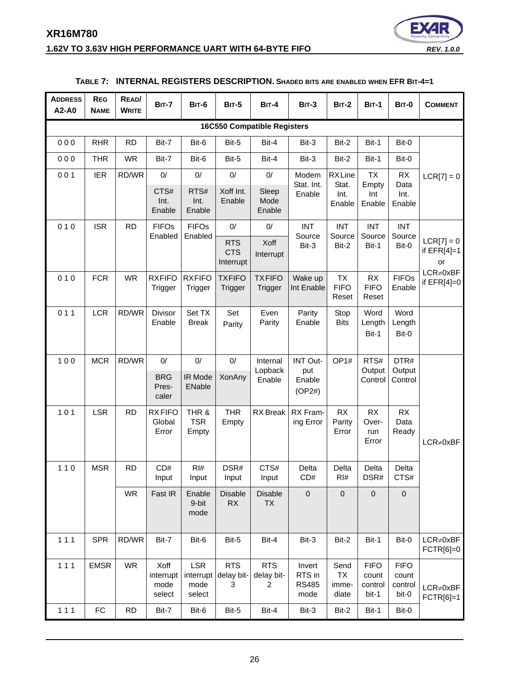# **XR16M780 1.62V TO 3.63V HIGH PERFORMANCE UART WITH 64-BYTE FIFO** *REV. 1.0.0*



<span id="page-25-0"></span>

| <b>ADDRESS</b><br>A2-A0 | <b>REG</b><br><b>NAME</b>          | READ/<br><b>WRITE</b> | <b>BIT-7</b>                        | <b>BIT-6</b>                              | BIT-5                                 | <b>BIT-4</b>                    | <b>BIT-3</b>                             | <b>BIT-2</b>                        | <b>BIT-1</b>                             | BIT-0                                    | <b>COMMENT</b>                      |
|-------------------------|------------------------------------|-----------------------|-------------------------------------|-------------------------------------------|---------------------------------------|---------------------------------|------------------------------------------|-------------------------------------|------------------------------------------|------------------------------------------|-------------------------------------|
|                         | <b>16C550 Compatible Registers</b> |                       |                                     |                                           |                                       |                                 |                                          |                                     |                                          |                                          |                                     |
| 000                     | <b>RHR</b>                         | <b>RD</b>             | Bit-7                               | Bit-6                                     | Bit-5                                 | Bit-4                           | Bit-3                                    | Bit-2                               | Bit-1                                    | Bit-0                                    |                                     |
| 000                     | <b>THR</b>                         | <b>WR</b>             | Bit-7                               | Bit-6                                     | Bit-5                                 | Bit-4                           | Bit-3                                    | Bit-2                               | Bit-1                                    | Bit-0                                    |                                     |
| 001                     | <b>IER</b>                         | RD/WR                 | 0/                                  | 0/                                        | $0/$                                  | $0/$                            | Modem                                    | <b>RXLine</b>                       | <b>TX</b>                                | <b>RX</b>                                | $LCR[7] = 0$                        |
|                         |                                    |                       | CTS#<br>Int.<br>Enable              | RTS#<br>Int.<br>Enable                    | Xoff Int.<br>Enable                   | Sleep<br>Mode<br>Enable         | Stat. Int.<br>Enable                     | Stat.<br>Int.<br>Enable             | Empty<br>Int<br>Enable                   | Data<br>Int.<br>Enable                   |                                     |
| 010                     | <b>ISR</b>                         | <b>RD</b>             | <b>FIFOs</b><br>Enabled             | <b>FIFOs</b>                              | 0/                                    | $0/$                            | <b>INT</b><br>Source                     | <b>INT</b><br>Source                | <b>INT</b><br>Source                     | <b>INT</b><br>Source                     |                                     |
|                         |                                    |                       |                                     | Enabled                                   | <b>RTS</b><br><b>CTS</b><br>Interrupt | Xoff<br>Interrupt               | Bit-3                                    | Bit-2                               | Bit-1                                    | Bit-0                                    | $LCR[7] = 0$<br>if $EFR[4]=1$<br>or |
| 010                     | <b>FCR</b>                         | <b>WR</b>             | <b>RXFIFO</b><br>Trigger            | <b>RXFIFO</b><br>Trigger                  | <b>TXFIFO</b><br>Trigger              | <b>TXFIFO</b><br><b>Trigger</b> | Wake up<br>Int Enable                    | <b>TX</b><br><b>FIFO</b><br>Reset   | <b>RX</b><br><b>FIFO</b><br>Reset        | <b>FIFOs</b><br>Enable                   | $LCR \neq 0xBF$<br>if $EFR[4]=0$    |
| 011                     | <b>LCR</b>                         | RD/WR                 | Divisor<br>Enable                   | Set TX<br><b>Break</b>                    | Set<br>Parity                         | Even<br>Parity                  | Parity<br>Enable                         | Stop<br><b>Bits</b>                 | Word<br>Length<br>Bit-1                  | Word<br>Length<br>Bit-0                  |                                     |
| 100                     | <b>MCR</b>                         | RD/WR                 | 0/                                  | 0/                                        | $0/$                                  | Internal                        | INT Out-                                 | OP <sub>1#</sub>                    | RTS#                                     | DTR#                                     |                                     |
|                         |                                    |                       | <b>BRG</b><br>Pres-<br>caler        | IR Mode<br>ENable                         | XonAny                                | Lopback<br>Enable               | put<br>Enable<br>(OP2#)                  |                                     | Output<br>Control                        | Output<br>Control                        |                                     |
| 101                     | <b>LSR</b>                         | <b>RD</b>             | <b>RXFIFO</b><br>Global<br>Error    | THR &<br><b>TSR</b><br>Empty              | <b>THR</b><br>Empty                   | <b>RX</b> Break                 | RX Fram-<br>ing Error                    | <b>RX</b><br>Parity<br>Error        | <b>RX</b><br>Over-<br>run<br>Error       | RX<br>Data<br>Ready                      | $LCR \neq 0xBF$                     |
| $110$                   | <b>MSR</b>                         | <b>RD</b>             | CD#<br>Input                        | RI#<br>Input                              | DSR#<br>Input                         | CTS#<br>Input                   | Delta<br>CD#                             | Delta<br>RI#                        | Delta<br>DSR#                            | Delta<br>CTS#                            |                                     |
|                         |                                    | <b>WR</b>             | Fast IR                             | Enable<br>9-bit<br>mode                   | <b>Disable</b><br>RX                  | <b>Disable</b><br><b>TX</b>     | $\mathbf 0$                              | 0                                   | $\mathbf 0$                              | $\mathbf 0$                              |                                     |
| 111                     | <b>SPR</b>                         | RD/WR                 | Bit-7                               | Bit-6                                     | Bit-5                                 | Bit-4                           | Bit-3                                    | Bit-2                               | Bit-1                                    | Bit-0                                    | $LCR \neq 0xBF$<br>FCTR[6]=0        |
| 111                     | <b>EMSR</b>                        | <b>WR</b>             | Xoff<br>interrupt<br>mode<br>select | <b>LSR</b><br>interrupt<br>mode<br>select | <b>RTS</b><br>delay bit-<br>3         | <b>RTS</b><br>delay bit-<br>2   | Invert<br>RTS in<br><b>RS485</b><br>mode | Send<br><b>TX</b><br>imme-<br>diate | <b>FIFO</b><br>count<br>control<br>bit-1 | <b>FIFO</b><br>count<br>control<br>bit-0 | $LCR \neq 0xBF$<br>FCTR[6]=1        |
| $111$                   | ${\sf FC}$                         | <b>RD</b>             | Bit-7                               | Bit-6                                     | Bit-5                                 | Bit-4                           | Bit-3                                    | Bit-2                               | Bit-1                                    | Bit-0                                    |                                     |

# **TABLE 7: INTERNAL REGISTERS DESCRIPTION. SHADED BITS ARE ENABLED WHEN EFR BIT-4=1**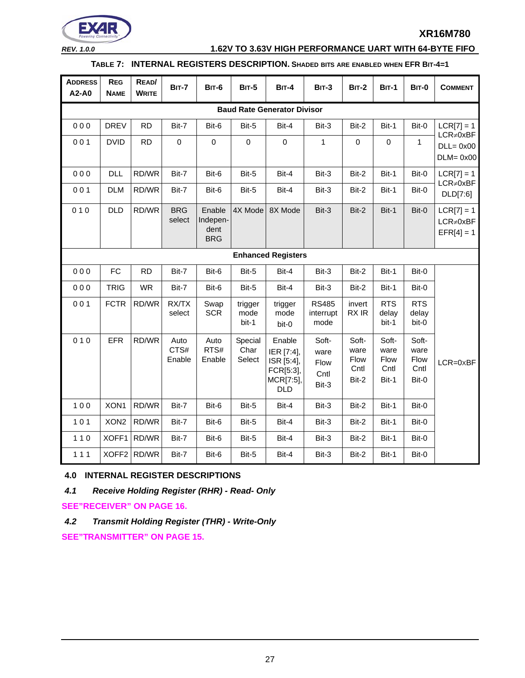

*REV. 1.0.0* **1.62V TO 3.63V HIGH PERFORMANCE UART WITH 64-BYTE FIFO**

# **TABLE 7: INTERNAL REGISTERS DESCRIPTION. SHADED BITS ARE ENABLED WHEN EFR BIT-4=1**

| <b>ADDRESS</b><br>A2-A0 | <b>REG</b><br><b>NAME</b>          | READ/<br><b>WRITE</b> | <b>BIT-7</b>           | <b>BIT-6</b>                             | <b>BIT-5</b>              | <b>BIT-4</b>                                                               | <b>BIT-3</b>                           | <b>BIT-2</b>                           | <b>BIT-1</b>                                  | <b>BIT-0</b>                           | <b>COMMENT</b>                                  |
|-------------------------|------------------------------------|-----------------------|------------------------|------------------------------------------|---------------------------|----------------------------------------------------------------------------|----------------------------------------|----------------------------------------|-----------------------------------------------|----------------------------------------|-------------------------------------------------|
|                         | <b>Baud Rate Generator Divisor</b> |                       |                        |                                          |                           |                                                                            |                                        |                                        |                                               |                                        |                                                 |
| 000                     | <b>DREV</b>                        | <b>RD</b>             | Bit-7                  | Bit-6                                    | Bit-5                     | Bit-4                                                                      | Bit-3                                  | Bit-2                                  | Bit-1                                         | Bit-0                                  | $LCR[7] = 1$                                    |
| 001                     | <b>DVID</b>                        | <b>RD</b>             | $\pmb{0}$              | $\mathbf 0$                              | $\mathbf 0$               | $\mathbf 0$                                                                | 1                                      | 0                                      | $\mathbf 0$                                   | $\mathbf{1}$                           | $LCR \neq 0xBF$<br>$DLL = 0x00$<br>$DLM = 0x00$ |
| 000                     | <b>DLL</b>                         | RD/WR                 | Bit-7                  | Bit-6                                    | Bit-5                     | Bit-4                                                                      | Bit-3                                  | Bit-2                                  | Bit-1                                         | Bit-0                                  | $LCR[7] = 1$                                    |
| 001                     | <b>DLM</b>                         | RD/WR                 | Bit-7                  | Bit-6                                    | Bit-5                     | Bit-4                                                                      | Bit-3                                  | Bit-2                                  | Bit-1                                         | Bit-0                                  | $LCR \neq 0xBF$<br>DLD[7:6]                     |
| 010                     | <b>DLD</b>                         | RD/WR                 | <b>BRG</b><br>select   | Enable<br>Indepen-<br>dent<br><b>BRG</b> | 4X Mode                   | 8X Mode                                                                    | Bit-3                                  | Bit-2                                  | Bit-1                                         | Bit-0                                  | $LCR[7] = 1$<br>$LCR \neq 0xBF$<br>$EFR[4] = 1$ |
|                         | <b>Enhanced Registers</b>          |                       |                        |                                          |                           |                                                                            |                                        |                                        |                                               |                                        |                                                 |
| 000                     | FC                                 | <b>RD</b>             | Bit-7                  | Bit-6                                    | Bit-5                     | Bit-4                                                                      | Bit-3                                  | Bit-2                                  | Bit-1                                         | Bit-0                                  |                                                 |
| 000                     | <b>TRIG</b>                        | <b>WR</b>             | Bit-7                  | Bit-6                                    | Bit-5                     | Bit-4                                                                      | Bit-3                                  | Bit-2                                  | Bit-1                                         | Bit-0                                  |                                                 |
| 001                     | <b>FCTR</b>                        | RD/WR                 | RX/TX<br>select        | Swap<br><b>SCR</b>                       | trigger<br>mode<br>bit-1  | trigger<br>mode<br>bit-0                                                   | <b>RS485</b><br>interrupt<br>mode      | invert<br>RX IR                        | <b>RTS</b><br>delay<br>bit-1                  | <b>RTS</b><br>delay<br>bit-0           |                                                 |
| 010                     | <b>EFR</b>                         | RD/WR                 | Auto<br>CTS#<br>Enable | Auto<br>RTS#<br>Enable                   | Special<br>Char<br>Select | Enable<br>IER [7:4],<br>ISR [5:4],<br>FCR[5:3],<br>MCR[7:5],<br><b>DLD</b> | Soft-<br>ware<br>Flow<br>Cntl<br>Bit-3 | Soft-<br>ware<br>Flow<br>Cntl<br>Bit-2 | Soft-<br>ware<br><b>Flow</b><br>Cntl<br>Bit-1 | Soft-<br>ware<br>Flow<br>Cntl<br>Bit-0 | $LCR = 0 \times BF$                             |
| 100                     | XON1                               | RD/WR                 | Bit-7                  | Bit-6                                    | Bit-5                     | Bit-4                                                                      | Bit-3                                  | Bit-2                                  | Bit-1                                         | Bit-0                                  |                                                 |
| $101$                   | XON <sub>2</sub>                   | RD/WR                 | Bit-7                  | Bit-6                                    | Bit-5                     | Bit-4                                                                      | Bit-3                                  | Bit-2                                  | Bit-1                                         | Bit-0                                  |                                                 |
| $110$                   | XOFF1                              | RD/WR                 | Bit-7                  | Bit-6                                    | Bit-5                     | Bit-4                                                                      | Bit-3                                  | Bit-2                                  | Bit-1                                         | Bit-0                                  |                                                 |
| 111                     |                                    | XOFF2 RD/WR           | Bit-7                  | Bit-6                                    | Bit-5                     | Bit-4                                                                      | Bit-3                                  | Bit-2                                  | Bit-1                                         | Bit-0                                  |                                                 |

#### <span id="page-26-0"></span>**4.0 INTERNAL REGISTER DESCRIPTIONS**

<span id="page-26-1"></span>*4.1 Receive Holding Register (RHR) - Read- Only*

**[SEE"RECEIVER" ON PAGE](#page-15-0) 16.**

<span id="page-26-2"></span>*4.2 Transmit Holding Register (THR) - Write-Only*

**[SEE"TRANSMITTER" ON PAGE](#page-14-0) 15.**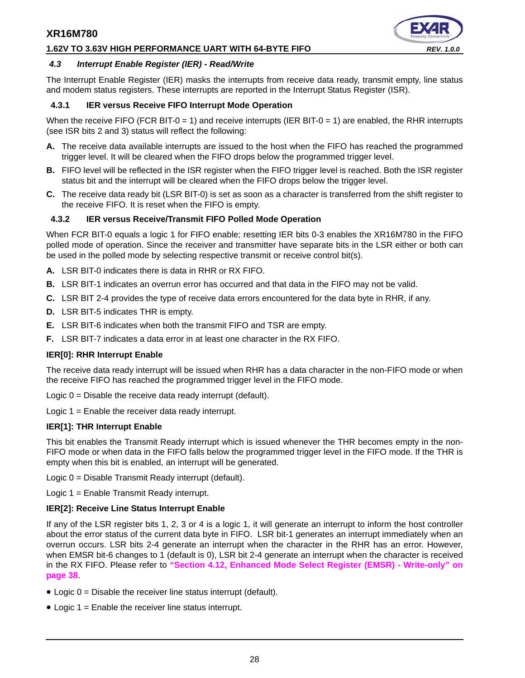### **1.62V TO 3.63V HIGH PERFORMANCE UART WITH 64-BYTE FIFO** *REV. 1.0.0*



#### <span id="page-27-0"></span>*4.3 Interrupt Enable Register (IER) - Read/Write*

The Interrupt Enable Register (IER) masks the interrupts from receive data ready, transmit empty, line status and modem status registers. These interrupts are reported in the Interrupt Status Register (ISR).

#### <span id="page-27-1"></span>**4.3.1 IER versus Receive FIFO Interrupt Mode Operation**

When the receive FIFO (FCR BIT-0 = 1) and receive interrupts (IER BIT-0 = 1) are enabled, the RHR interrupts (see ISR bits 2 and 3) status will reflect the following:

- **A.** The receive data available interrupts are issued to the host when the FIFO has reached the programmed trigger level. It will be cleared when the FIFO drops below the programmed trigger level.
- **B.** FIFO level will be reflected in the ISR register when the FIFO trigger level is reached. Both the ISR register status bit and the interrupt will be cleared when the FIFO drops below the trigger level.
- **C.** The receive data ready bit (LSR BIT-0) is set as soon as a character is transferred from the shift register to the receive FIFO. It is reset when the FIFO is empty.

#### <span id="page-27-2"></span>**4.3.2 IER versus Receive/Transmit FIFO Polled Mode Operation**

When FCR BIT-0 equals a logic 1 for FIFO enable; resetting IER bits 0-3 enables the XR16M780 in the FIFO polled mode of operation. Since the receiver and transmitter have separate bits in the LSR either or both can be used in the polled mode by selecting respective transmit or receive control bit(s).

- **A.** LSR BIT-0 indicates there is data in RHR or RX FIFO.
- **B.** LSR BIT-1 indicates an overrun error has occurred and that data in the FIFO may not be valid.
- **C.** LSR BIT 2-4 provides the type of receive data errors encountered for the data byte in RHR, if any.
- **D.** LSR BIT-5 indicates THR is empty.
- **E.** LSR BIT-6 indicates when both the transmit FIFO and TSR are empty.
- **F.** LSR BIT-7 indicates a data error in at least one character in the RX FIFO.

#### **IER[0]: RHR Interrupt Enable**

The receive data ready interrupt will be issued when RHR has a data character in the non-FIFO mode or when the receive FIFO has reached the programmed trigger level in the FIFO mode.

Logic 0 = Disable the receive data ready interrupt (default).

Logic 1 = Enable the receiver data ready interrupt.

#### **IER[1]: THR Interrupt Enable**

This bit enables the Transmit Ready interrupt which is issued whenever the THR becomes empty in the non-FIFO mode or when data in the FIFO falls below the programmed trigger level in the FIFO mode. If the THR is empty when this bit is enabled, an interrupt will be generated.

Logic 0 = Disable Transmit Ready interrupt (default).

Logic 1 = Enable Transmit Ready interrupt.

#### **IER[2]: Receive Line Status Interrupt Enable**

If any of the LSR register bits 1, 2, 3 or 4 is a logic 1, it will generate an interrupt to inform the host controller about the error status of the current data byte in FIFO. LSR bit-1 generates an interrupt immediately when an overrun occurs. LSR bits 2-4 generate an interrupt when the character in the RHR has an error. However, when EMSR bit-6 changes to 1 (default is 0), LSR bit 2-4 generate an interrupt when the character is received in the RX FIFO. Please refer to **["Section 4.12, Enhanced Mode Select Register \(EMSR\) - Write-only" on](#page-37-0) [page](#page-37-0) 38**.

- Logic 0 = Disable the receiver line status interrupt (default).
- Logic 1 = Enable the receiver line status interrupt.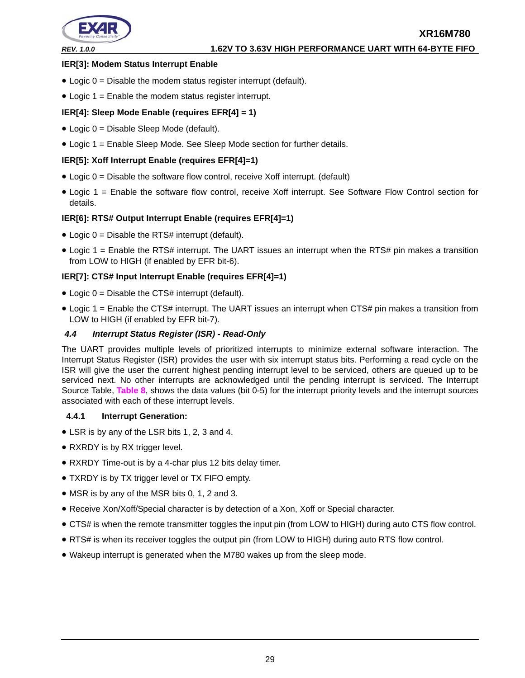

#### **IER[3]: Modem Status Interrupt Enable**

- Logic  $0 =$  Disable the modem status register interrupt (default).
- Logic 1 = Enable the modem status register interrupt.

#### **IER[4]: Sleep Mode Enable (requires EFR[4] = 1)**

- Logic 0 = Disable Sleep Mode (default).
- Logic 1 = Enable Sleep Mode. See Sleep Mode section for further details.

#### **IER[5]: Xoff Interrupt Enable (requires EFR[4]=1)**

- $\bullet$  Logic 0 = Disable the software flow control, receive Xoff interrupt. (default)
- Logic 1 = Enable the software flow control, receive Xoff interrupt. See Software Flow Control section for details.

#### **IER[6]: RTS# Output Interrupt Enable (requires EFR[4]=1)**

- $\bullet$  Logic 0 = Disable the RTS# interrupt (default).
- Logic 1 = Enable the RTS# interrupt. The UART issues an interrupt when the RTS# pin makes a transition from LOW to HIGH (if enabled by EFR bit-6).

#### **IER[7]: CTS# Input Interrupt Enable (requires EFR[4]=1)**

- Logic  $0 =$  Disable the CTS# interrupt (default).
- Logic 1 = Enable the CTS# interrupt. The UART issues an interrupt when CTS# pin makes a transition from LOW to HIGH (if enabled by EFR bit-7).

#### <span id="page-28-0"></span>*4.4 Interrupt Status Register (ISR) - Read-Only*

The UART provides multiple levels of prioritized interrupts to minimize external software interaction. The Interrupt Status Register (ISR) provides the user with six interrupt status bits. Performing a read cycle on the ISR will give the user the current highest pending interrupt level to be serviced, others are queued up to be serviced next. No other interrupts are acknowledged until the pending interrupt is serviced. The Interrupt Source Table, **[Table](#page-29-0) 8**, shows the data values (bit 0-5) for the interrupt priority levels and the interrupt sources associated with each of these interrupt levels.

#### <span id="page-28-1"></span>**4.4.1 Interrupt Generation:**

- LSR is by any of the LSR bits 1, 2, 3 and 4.
- RXRDY is by RX trigger level.
- RXRDY Time-out is by a 4-char plus 12 bits delay timer.
- TXRDY is by TX trigger level or TX FIFO empty.
- MSR is by any of the MSR bits 0, 1, 2 and 3.
- Receive Xon/Xoff/Special character is by detection of a Xon, Xoff or Special character.
- CTS# is when the remote transmitter toggles the input pin (from LOW to HIGH) during auto CTS flow control.
- RTS# is when its receiver toggles the output pin (from LOW to HIGH) during auto RTS flow control.
- Wakeup interrupt is generated when the M780 wakes up from the sleep mode.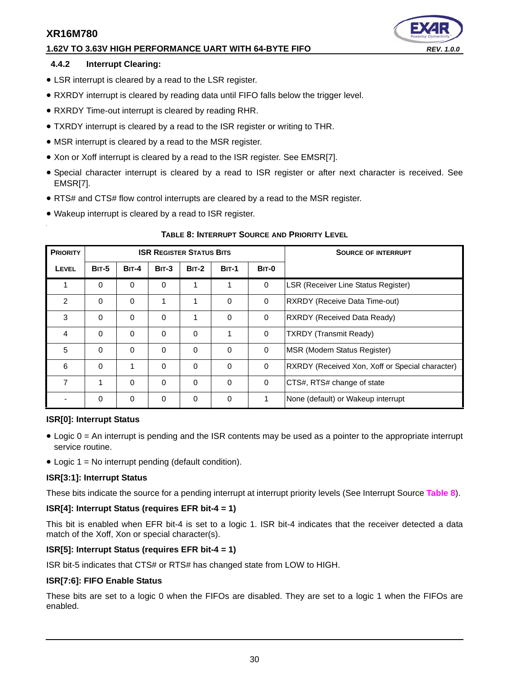## **1.62V TO 3.63V HIGH PERFORMANCE UART WITH 64-BYTE FIFO** *REV. 1.0.0*

#### <span id="page-29-1"></span>**4.4.2 Interrupt Clearing:**

- LSR interrupt is cleared by a read to the LSR register.
- RXRDY interrupt is cleared by reading data until FIFO falls below the trigger level.
- RXRDY Time-out interrupt is cleared by reading RHR.
- TXRDY interrupt is cleared by a read to the ISR register or writing to THR.
- MSR interrupt is cleared by a read to the MSR register.
- Xon or Xoff interrupt is cleared by a read to the ISR register. See EMSR[7].
- Special character interrupt is cleared by a read to ISR register or after next character is received. See EMSR[7].
- RTS# and CTS# flow control interrupts are cleared by a read to the MSR register.
- Wakeup interrupt is cleared by a read to ISR register.

<span id="page-29-0"></span>

| <b>PRIORITY</b> |              |              |              | <b>ISR REGISTER STATUS BITS</b> |              | <b>SOURCE OF INTERRUPT</b> |                                                 |
|-----------------|--------------|--------------|--------------|---------------------------------|--------------|----------------------------|-------------------------------------------------|
| LEVEL           | <b>BIT-5</b> | <b>BIT-4</b> | <b>BIT-3</b> | <b>BIT-2</b>                    | <b>BIT-1</b> | <b>BIT-0</b>               |                                                 |
| 1               | $\Omega$     | $\Omega$     | $\Omega$     | 1                               | 1            | $\Omega$                   | <b>LSR (Receiver Line Status Register)</b>      |
| $\mathcal{P}$   | $\Omega$     | $\Omega$     | 1            | 1                               | $\Omega$     | $\Omega$                   | RXRDY (Receive Data Time-out)                   |
| 3               | 0            | 0            | $\Omega$     | 1                               | $\Omega$     | $\Omega$                   | <b>RXRDY (Received Data Ready)</b>              |
| $\overline{4}$  | 0            | $\Omega$     | $\Omega$     | 0                               | 1            | $\Omega$                   | <b>TXRDY (Transmit Ready)</b>                   |
| 5               | $\Omega$     | $\Omega$     | $\Omega$     | 0                               | $\Omega$     | $\Omega$                   | MSR (Modem Status Register)                     |
| 6               | 0            | 1            | $\Omega$     | $\Omega$                        | $\Omega$     | $\Omega$                   | RXRDY (Received Xon, Xoff or Special character) |
| 7               | 1            | $\Omega$     | $\Omega$     | $\Omega$                        | $\Omega$     | $\Omega$                   | CTS#, RTS# change of state                      |
|                 | 0            | $\mathbf 0$  | $\mathbf 0$  | 0                               | 0            |                            | None (default) or Wakeup interrupt              |

#### **TABLE 8: INTERRUPT SOURCE AND PRIORITY LEVEL**

#### **ISR[0]: Interrupt Status**

- Logic 0 = An interrupt is pending and the ISR contents may be used as a pointer to the appropriate interrupt service routine.
- Logic 1 = No interrupt pending (default condition).

#### **ISR[3:1]: Interrupt Status**

These bits indicate the source for a pending interrupt at interrupt priority levels (See Interrupt Source **[Table](#page-29-0) 8**).

#### **ISR[4]: Interrupt Status (requires EFR bit-4 = 1)**

This bit is enabled when EFR bit-4 is set to a logic 1. ISR bit-4 indicates that the receiver detected a data match of the Xoff, Xon or special character(s).

#### **ISR[5]: Interrupt Status (requires EFR bit-4 = 1)**

ISR bit-5 indicates that CTS# or RTS# has changed state from LOW to HIGH.

#### **ISR[7:6]: FIFO Enable Status**

These bits are set to a logic 0 when the FIFOs are disabled. They are set to a logic 1 when the FIFOs are enabled.



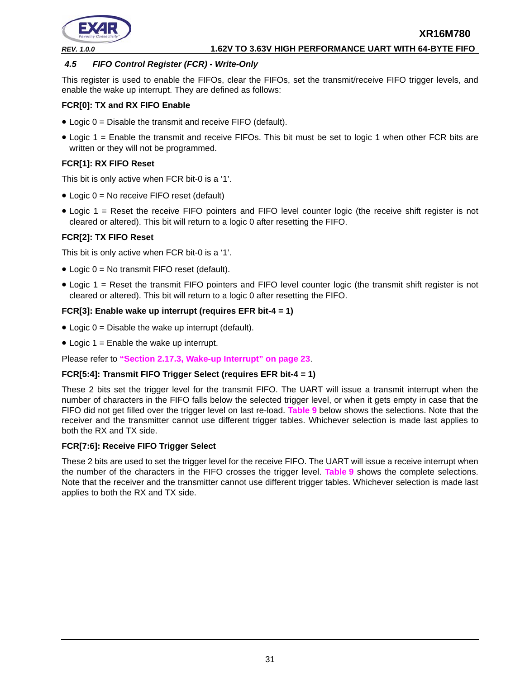

#### <span id="page-30-0"></span>*4.5 FIFO Control Register (FCR) - Write-Only*

This register is used to enable the FIFOs, clear the FIFOs, set the transmit/receive FIFO trigger levels, and enable the wake up interrupt. They are defined as follows:

#### **FCR[0]: TX and RX FIFO Enable**

- Logic 0 = Disable the transmit and receive FIFO (default).
- Logic 1 = Enable the transmit and receive FIFOs. This bit must be set to logic 1 when other FCR bits are written or they will not be programmed.

#### **FCR[1]: RX FIFO Reset**

This bit is only active when FCR bit-0 is a '1'.

- Logic 0 = No receive FIFO reset (default)
- Logic 1 = Reset the receive FIFO pointers and FIFO level counter logic (the receive shift register is not cleared or altered). This bit will return to a logic 0 after resetting the FIFO.

# **FCR[2]: TX FIFO Reset**

This bit is only active when FCR bit-0 is a '1'.

- Logic 0 = No transmit FIFO reset (default).
- Logic 1 = Reset the transmit FIFO pointers and FIFO level counter logic (the transmit shift register is not cleared or altered). This bit will return to a logic 0 after resetting the FIFO.

#### **FCR[3]: Enable wake up interrupt (requires EFR bit-4 = 1)**

- Logic  $0 =$  Disable the wake up interrupt (default).
- $\bullet$  Logic 1 = Enable the wake up interrupt.

Please refer to **["Section 2.17.3, Wake-up Interrupt" on page](#page-22-0) 23**.

#### **FCR[5:4]: Transmit FIFO Trigger Select (requires EFR bit-4 = 1)**

These 2 bits set the trigger level for the transmit FIFO. The UART will issue a transmit interrupt when the number of characters in the FIFO falls below the selected trigger level, or when it gets empty in case that the FIFO did not get filled over the trigger level on last re-load. **[Table](#page-31-0) 9** below shows the selections. Note that the receiver and the transmitter cannot use different trigger tables. Whichever selection is made last applies to both the RX and TX side.

#### **FCR[7:6]: Receive FIFO Trigger Select**

These 2 bits are used to set the trigger level for the receive FIFO. The UART will issue a receive interrupt when the number of the characters in the FIFO crosses the trigger level. **[Table](#page-31-0) 9** shows the complete selections. Note that the receiver and the transmitter cannot use different trigger tables. Whichever selection is made last applies to both the RX and TX side.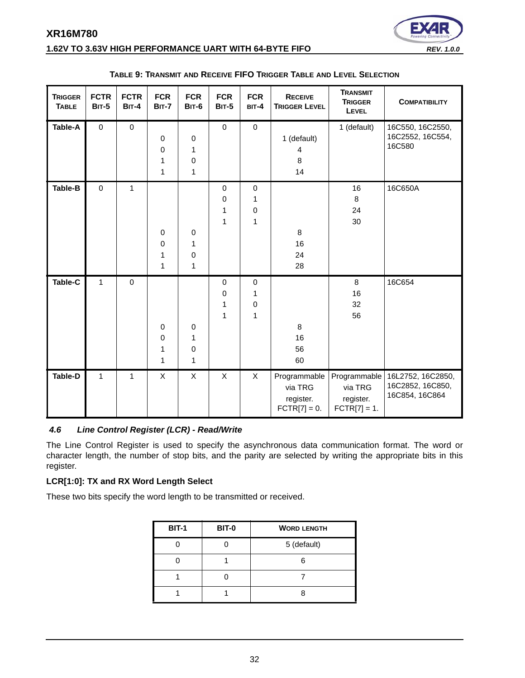

## **1.62V TO 3.63V HIGH PERFORMANCE UART WITH 64-BYTE FIFO** *REV. 1.0.0*

<span id="page-31-0"></span>

| <b>TRIGGER</b><br><b>TABLE</b> | <b>FCTR</b><br><b>BIT-5</b> | <b>FCTR</b><br><b>BIT-4</b> | <b>FCR</b><br><b>BIT-7</b>           | <b>FCR</b><br><b>BIT-6</b>         | <b>FCR</b><br><b>BIT-5</b> | <b>FCR</b><br>BIT-4                             | <b>RECEIVE</b><br><b>TRIGGER LEVEL</b>                 | <b>TRANSMIT</b><br><b>TRIGGER</b><br>LEVEL | <b>COMPATIBILITY</b>                                                   |
|--------------------------------|-----------------------------|-----------------------------|--------------------------------------|------------------------------------|----------------------------|-------------------------------------------------|--------------------------------------------------------|--------------------------------------------|------------------------------------------------------------------------|
| Table-A                        | $\pmb{0}$                   | $\pmb{0}$                   | $\mathbf 0$<br>$\mathbf 0$<br>1<br>1 | $\pmb{0}$<br>1<br>$\,0\,$<br>1     | $\pmb{0}$                  | $\pmb{0}$                                       | 1 (default)<br>4<br>8<br>14                            | 1 (default)                                | 16C550, 16C2550,<br>16C2552, 16C554,<br>16C580                         |
| Table-B                        | $\mathbf 0$                 | $\mathbf{1}$                | $\mathbf 0$<br>$\mathbf 0$<br>1<br>1 | $\,0\,$<br>1<br>$\pmb{0}$<br>1     | $\mathbf 0$<br>0<br>1<br>1 | $\mathbf 0$<br>1<br>$\mathbf 0$<br>$\mathbf{1}$ | 8<br>16<br>24<br>28                                    | 16<br>8<br>24<br>30                        | 16C650A                                                                |
| Table-C                        | $\mathbf{1}$                | $\mathbf 0$                 | $\mathbf 0$<br>$\mathbf 0$<br>1<br>1 | $\pmb{0}$<br>1<br>$\mathbf 0$<br>1 | $\mathbf 0$<br>0<br>1<br>1 | $\pmb{0}$<br>1<br>$\mathbf 0$<br>1              | 8<br>16<br>56<br>60                                    | 8<br>16<br>32<br>56                        | 16C654                                                                 |
| <b>Table-D</b>                 | $\mathbf{1}$                | $\mathbf{1}$                | X                                    | X                                  | $\pmb{\times}$             | $\mathsf X$                                     | Programmable<br>via TRG<br>register.<br>$FCTR[7] = 0.$ | via TRG<br>register.<br>$FCTR[7] = 1.$     | Programmable   16L2752, 16C2850,<br>16C2852, 16C850,<br>16C854, 16C864 |

#### **TABLE 9: TRANSMIT AND RECEIVE FIFO TRIGGER TABLE AND LEVEL SELECTION**

#### <span id="page-31-1"></span>*4.6 Line Control Register (LCR) - Read/Write*

The Line Control Register is used to specify the asynchronous data communication format. The word or character length, the number of stop bits, and the parity are selected by writing the appropriate bits in this register.

### **LCR[1:0]: TX and RX Word Length Select**

These two bits specify the word length to be transmitted or received.

| <b>BIT-1</b> | <b>BIT-0</b> | <b>WORD LENGTH</b> |
|--------------|--------------|--------------------|
|              |              | 5 (default)        |
|              |              | ี่ค                |
|              |              |                    |
|              |              |                    |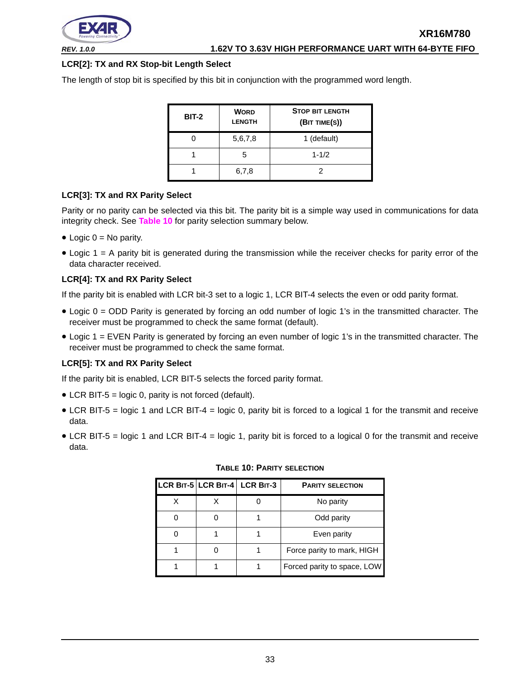

# **LCR[2]: TX and RX Stop-bit Length Select**

The length of stop bit is specified by this bit in conjunction with the programmed word length.

| <b>BIT-2</b> | <b>WORD</b><br><b>LENGTH</b> | <b>STOP BIT LENGTH</b><br>(BIT TIME(S)) |
|--------------|------------------------------|-----------------------------------------|
|              | 5,6,7,8                      | 1 (default)                             |
|              | 5                            | $1 - 1/2$                               |
|              | 6,7,8                        |                                         |

#### **LCR[3]: TX and RX Parity Select**

Parity or no parity can be selected via this bit. The parity bit is a simple way used in communications for data integrity check. See **[Table](#page-32-0) 10** for parity selection summary below.

- Logic  $0 = No$  parity.
- Logic 1 = A parity bit is generated during the transmission while the receiver checks for parity error of the data character received.

#### **LCR[4]: TX and RX Parity Select**

If the parity bit is enabled with LCR bit-3 set to a logic 1, LCR BIT-4 selects the even or odd parity format.

- Logic 0 = ODD Parity is generated by forcing an odd number of logic 1's in the transmitted character. The receiver must be programmed to check the same format (default).
- Logic 1 = EVEN Parity is generated by forcing an even number of logic 1's in the transmitted character. The receiver must be programmed to check the same format.

#### **LCR[5]: TX and RX Parity Select**

If the parity bit is enabled, LCR BIT-5 selects the forced parity format.

- LCR BIT-5 = logic 0, parity is not forced (default).
- LCR BIT-5 = logic 1 and LCR BIT-4 = logic 0, parity bit is forced to a logical 1 for the transmit and receive data.
- <span id="page-32-0"></span>• LCR BIT-5 = logic 1 and LCR BIT-4 = logic 1, parity bit is forced to a logical 0 for the transmit and receive data.

|  | LCR BIT-5 LCR BIT-4 LCR BIT-3 | <b>PARITY SELECTION</b>     |
|--|-------------------------------|-----------------------------|
|  |                               | No parity                   |
|  |                               | Odd parity                  |
|  |                               | Even parity                 |
|  |                               | Force parity to mark, HIGH  |
|  |                               | Forced parity to space, LOW |

#### **TABLE 10: PARITY SELECTION**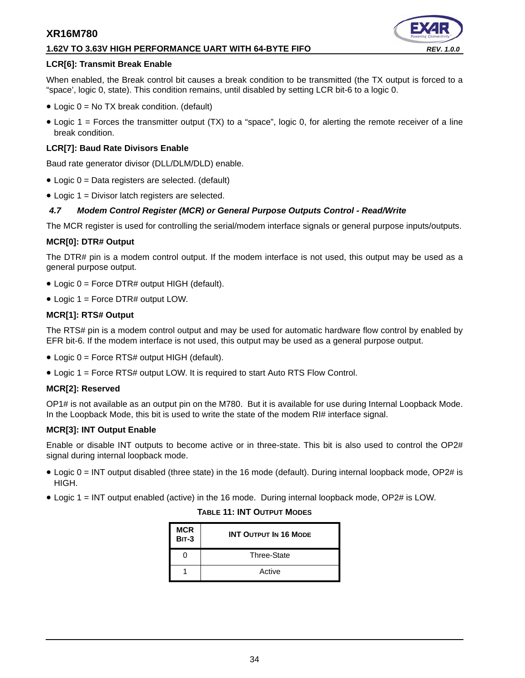#### **1.62V TO 3.63V HIGH PERFORMANCE UART WITH 64-BYTE FIFO** *REV. 1.0.0*

#### **LCR[6]: Transmit Break Enable**

When enabled, the Break control bit causes a break condition to be transmitted (the TX output is forced to a "space', logic 0, state). This condition remains, until disabled by setting LCR bit-6 to a logic 0.

- Logic 0 = No TX break condition. (default)
- Logic 1 = Forces the transmitter output (TX) to a "space", logic 0, for alerting the remote receiver of a line break condition.

#### **LCR[7]: Baud Rate Divisors Enable**

Baud rate generator divisor (DLL/DLM/DLD) enable.

- Logic 0 = Data registers are selected. (default)
- Logic 1 = Divisor latch registers are selected.

#### <span id="page-33-0"></span>*4.7 Modem Control Register (MCR) or General Purpose Outputs Control - Read/Write*

The MCR register is used for controlling the serial/modem interface signals or general purpose inputs/outputs.

#### **MCR[0]: DTR# Output**

The DTR# pin is a modem control output. If the modem interface is not used, this output may be used as a general purpose output.

- Logic 0 = Force DTR# output HIGH (default).
- Logic 1 = Force DTR# output LOW.

#### **MCR[1]: RTS# Output**

The RTS# pin is a modem control output and may be used for automatic hardware flow control by enabled by EFR bit-6. If the modem interface is not used, this output may be used as a general purpose output.

- Logic 0 = Force RTS# output HIGH (default).
- Logic 1 = Force RTS# output LOW. It is required to start Auto RTS Flow Control.

#### **MCR[2]: Reserved**

OP1# is not available as an output pin on the M780. But it is available for use during Internal Loopback Mode. In the Loopback Mode, this bit is used to write the state of the modem RI# interface signal.

#### **MCR[3]: INT Output Enable**

Enable or disable INT outputs to become active or in three-state. This bit is also used to control the OP2# signal during internal loopback mode.

- Logic 0 = INT output disabled (three state) in the 16 mode (default). During internal loopback mode, OP2# is HIGH.
- <span id="page-33-1"></span>• Logic 1 = INT output enabled (active) in the 16 mode. During internal loopback mode, OP2# is LOW.

#### **TABLE 11: INT OUTPUT MODES**

| <b>MCR</b><br><b>BIT-3</b> | <b>INT OUTPUT IN 16 MODE</b> |
|----------------------------|------------------------------|
|                            | Three-State                  |
|                            | Active                       |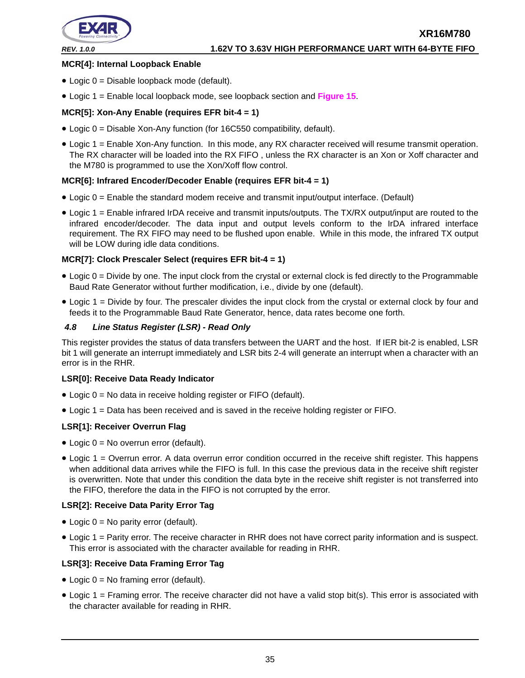

#### **MCR[4]: Internal Loopback Enable**

- Logic 0 = Disable loopback mode (default).
- Logic 1 = Enable local loopback mode, see loopback section and **[Figure](#page-23-0) 15**.

#### **MCR[5]: Xon-Any Enable (requires EFR bit-4 = 1)**

- Logic 0 = Disable Xon-Any function (for 16C550 compatibility, default).
- Logic 1 = Enable Xon-Any function. In this mode, any RX character received will resume transmit operation. The RX character will be loaded into the RX FIFO , unless the RX character is an Xon or Xoff character and the M780 is programmed to use the Xon/Xoff flow control.

#### **MCR[6]: Infrared Encoder/Decoder Enable (requires EFR bit-4 = 1)**

- Logic 0 = Enable the standard modem receive and transmit input/output interface. (Default)
- Logic 1 = Enable infrared IrDA receive and transmit inputs/outputs. The TX/RX output/input are routed to the infrared encoder/decoder. The data input and output levels conform to the IrDA infrared interface requirement. The RX FIFO may need to be flushed upon enable. While in this mode, the infrared TX output will be LOW during idle data conditions.

#### **MCR[7]: Clock Prescaler Select (requires EFR bit-4 = 1)**

- Logic 0 = Divide by one. The input clock from the crystal or external clock is fed directly to the Programmable Baud Rate Generator without further modification, i.e., divide by one (default).
- Logic 1 = Divide by four. The prescaler divides the input clock from the crystal or external clock by four and feeds it to the Programmable Baud Rate Generator, hence, data rates become one forth.

#### <span id="page-34-0"></span>*4.8 Line Status Register (LSR) - Read Only*

This register provides the status of data transfers between the UART and the host. If IER bit-2 is enabled, LSR bit 1 will generate an interrupt immediately and LSR bits 2-4 will generate an interrupt when a character with an error is in the RHR.

#### **LSR[0]: Receive Data Ready Indicator**

- Logic 0 = No data in receive holding register or FIFO (default).
- Logic 1 = Data has been received and is saved in the receive holding register or FIFO.

#### **LSR[1]: Receiver Overrun Flag**

- Logic 0 = No overrun error (default).
- Logic 1 = Overrun error. A data overrun error condition occurred in the receive shift register. This happens when additional data arrives while the FIFO is full. In this case the previous data in the receive shift register is overwritten. Note that under this condition the data byte in the receive shift register is not transferred into the FIFO, therefore the data in the FIFO is not corrupted by the error.

#### **LSR[2]: Receive Data Parity Error Tag**

- Logic  $0 = No$  parity error (default).
- Logic 1 = Parity error. The receive character in RHR does not have correct parity information and is suspect. This error is associated with the character available for reading in RHR.

#### **LSR[3]: Receive Data Framing Error Tag**

- Logic 0 = No framing error (default).
- Logic 1 = Framing error. The receive character did not have a valid stop bit(s). This error is associated with the character available for reading in RHR.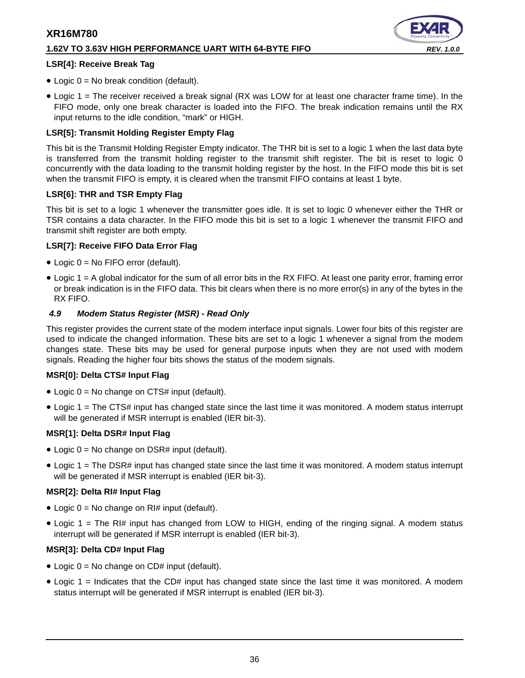#### **1.62V TO 3.63V HIGH PERFORMANCE UART WITH 64-BYTE FIFO** *REV. 1.0.0*

#### **LSR[4]: Receive Break Tag**

- Logic  $0 = No$  break condition (default).
- Logic 1 = The receiver received a break signal (RX was LOW for at least one character frame time). In the FIFO mode, only one break character is loaded into the FIFO. The break indication remains until the RX input returns to the idle condition, "mark" or HIGH.

#### **LSR[5]: Transmit Holding Register Empty Flag**

This bit is the Transmit Holding Register Empty indicator. The THR bit is set to a logic 1 when the last data byte is transferred from the transmit holding register to the transmit shift register. The bit is reset to logic 0 concurrently with the data loading to the transmit holding register by the host. In the FIFO mode this bit is set when the transmit FIFO is empty, it is cleared when the transmit FIFO contains at least 1 byte.

#### **LSR[6]: THR and TSR Empty Flag**

This bit is set to a logic 1 whenever the transmitter goes idle. It is set to logic 0 whenever either the THR or TSR contains a data character. In the FIFO mode this bit is set to a logic 1 whenever the transmit FIFO and transmit shift register are both empty.

#### **LSR[7]: Receive FIFO Data Error Flag**

- Logic 0 = No FIFO error (default).
- Logic 1 = A global indicator for the sum of all error bits in the RX FIFO. At least one parity error, framing error or break indication is in the FIFO data. This bit clears when there is no more error(s) in any of the bytes in the RX FIFO.

#### <span id="page-35-0"></span>*4.9 Modem Status Register (MSR) - Read Only*

This register provides the current state of the modem interface input signals. Lower four bits of this register are used to indicate the changed information. These bits are set to a logic 1 whenever a signal from the modem changes state. These bits may be used for general purpose inputs when they are not used with modem signals. Reading the higher four bits shows the status of the modem signals.

#### **MSR[0]: Delta CTS# Input Flag**

- Logic  $0 = No$  change on CTS# input (default).
- Logic 1 = The CTS# input has changed state since the last time it was monitored. A modem status interrupt will be generated if MSR interrupt is enabled (IER bit-3).

#### **MSR[1]: Delta DSR# Input Flag**

- Logic  $0 = No$  change on DSR# input (default).
- Logic 1 = The DSR# input has changed state since the last time it was monitored. A modem status interrupt will be generated if MSR interrupt is enabled (IER bit-3).

#### **MSR[2]: Delta RI# Input Flag**

- Logic  $0 = No$  change on RI# input (default).
- Logic 1 = The RI# input has changed from LOW to HIGH, ending of the ringing signal. A modem status interrupt will be generated if MSR interrupt is enabled (IER bit-3).

#### **MSR[3]: Delta CD# Input Flag**

- Logic  $0 = No$  change on CD# input (default).
- Logic 1 = Indicates that the CD# input has changed state since the last time it was monitored. A modem status interrupt will be generated if MSR interrupt is enabled (IER bit-3).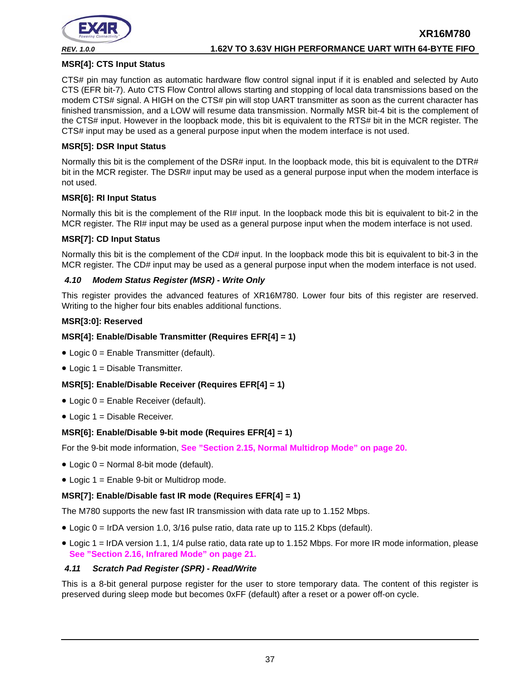

#### **MSR[4]: CTS Input Status**

CTS# pin may function as automatic hardware flow control signal input if it is enabled and selected by Auto CTS (EFR bit-7). Auto CTS Flow Control allows starting and stopping of local data transmissions based on the modem CTS# signal. A HIGH on the CTS# pin will stop UART transmitter as soon as the current character has finished transmission, and a LOW will resume data transmission. Normally MSR bit-4 bit is the complement of the CTS# input. However in the loopback mode, this bit is equivalent to the RTS# bit in the MCR register. The CTS# input may be used as a general purpose input when the modem interface is not used.

#### **MSR[5]: DSR Input Status**

Normally this bit is the complement of the DSR# input. In the loopback mode, this bit is equivalent to the DTR# bit in the MCR register. The DSR# input may be used as a general purpose input when the modem interface is not used.

#### **MSR[6]: RI Input Status**

Normally this bit is the complement of the RI# input. In the loopback mode this bit is equivalent to bit-2 in the MCR register. The RI# input may be used as a general purpose input when the modem interface is not used.

#### **MSR[7]: CD Input Status**

Normally this bit is the complement of the CD# input. In the loopback mode this bit is equivalent to bit-3 in the MCR register. The CD# input may be used as a general purpose input when the modem interface is not used.

#### <span id="page-36-0"></span>*4.10 Modem Status Register (MSR) - Write Only*

This register provides the advanced features of XR16M780. Lower four bits of this register are reserved. Writing to the higher four bits enables additional functions.

#### **MSR[3:0]: Reserved**

#### **MSR[4]: Enable/Disable Transmitter (Requires EFR[4] = 1)**

- Logic 0 = Enable Transmitter (default).
- Logic 1 = Disable Transmitter.

#### **MSR[5]: Enable/Disable Receiver (Requires EFR[4] = 1)**

- Logic 0 = Enable Receiver (default).
- Logic 1 = Disable Receiver.

#### **MSR[6]: Enable/Disable 9-bit mode (Requires EFR[4] = 1)**

For the 9-bit mode information, **[See "Section 2.15, Normal Multidrop Mode" on page](#page-19-1) 20.**

- Logic 0 = Normal 8-bit mode (default).
- Logic 1 = Enable 9-bit or Multidrop mode.

#### **MSR[7]: Enable/Disable fast IR mode (Requires EFR[4] = 1)**

The M780 supports the new fast IR transmission with data rate up to 1.152 Mbps.

- Logic 0 = IrDA version 1.0, 3/16 pulse ratio, data rate up to 115.2 Kbps (default).
- Logic 1 = IrDA version 1.1, 1/4 pulse ratio, data rate up to 1.152 Mbps. For more IR mode information, please **[See "Section 2.16, Infrared Mode" on page](#page-20-0) 21.**

#### <span id="page-36-1"></span>*4.11 Scratch Pad Register (SPR) - Read/Write*

This is a 8-bit general purpose register for the user to store temporary data. The content of this register is preserved during sleep mode but becomes 0xFF (default) after a reset or a power off-on cycle.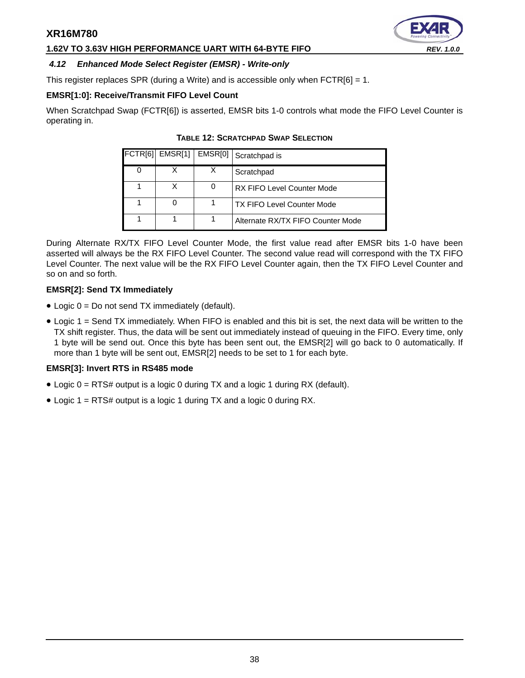### **1.62V TO 3.63V HIGH PERFORMANCE UART WITH 64-BYTE FIFO** *REV. 1.0.0*

#### <span id="page-37-0"></span>*4.12 Enhanced Mode Select Register (EMSR) - Write-only*

This register replaces SPR (during a Write) and is accessible only when  $FCTR[6] = 1$ .

#### **EMSR[1:0]: Receive/Transmit FIFO Level Count**

<span id="page-37-1"></span>When Scratchpad Swap (FCTR[6]) is asserted, EMSR bits 1-0 controls what mode the FIFO Level Counter is operating in.

| $FCTR[6]$ $EMSR[1]$ $EMSR[0]$ | Scratchpad is                     |
|-------------------------------|-----------------------------------|
|                               | Scratchpad                        |
|                               | <b>RX FIFO Level Counter Mode</b> |
|                               | <b>TX FIFO Level Counter Mode</b> |
|                               | Alternate RX/TX FIFO Counter Mode |

#### **TABLE 12: SCRATCHPAD SWAP SELECTION**

During Alternate RX/TX FIFO Level Counter Mode, the first value read after EMSR bits 1-0 have been asserted will always be the RX FIFO Level Counter. The second value read will correspond with the TX FIFO Level Counter. The next value will be the RX FIFO Level Counter again, then the TX FIFO Level Counter and so on and so forth.

#### **EMSR[2]: Send TX Immediately**

- Logic 0 = Do not send TX immediately (default).
- Logic 1 = Send TX immediately. When FIFO is enabled and this bit is set, the next data will be written to the TX shift register. Thus, the data will be sent out immediately instead of queuing in the FIFO. Every time, only 1 byte will be send out. Once this byte has been sent out, the EMSR[2] will go back to 0 automatically. If more than 1 byte will be sent out, EMSR[2] needs to be set to 1 for each byte.

#### **EMSR[3]: Invert RTS in RS485 mode**

- Logic 0 = RTS# output is a logic 0 during TX and a logic 1 during RX (default).
- Logic 1 = RTS# output is a logic 1 during TX and a logic 0 during RX.

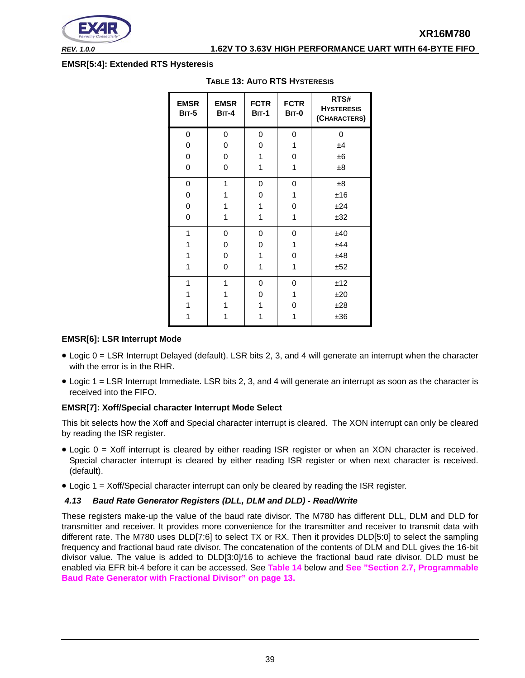

*REV. 1.0.0* **1.62V TO 3.63V HIGH PERFORMANCE UART WITH 64-BYTE FIFO**

#### <span id="page-38-1"></span>**EMSR[5:4]: Extended RTS Hysteresis**

| <b>EMSR</b><br><b>BIT-5</b> | <b>EMSR</b><br><b>BIT-4</b> | <b>FCTR</b><br><b>BIT-1</b> | <b>FCTR</b><br><b>BIT-0</b> | RTS#<br><b>HYSTERESIS</b><br>(CHARACTERS) |
|-----------------------------|-----------------------------|-----------------------------|-----------------------------|-------------------------------------------|
| 0                           | 0                           | 0                           | 0                           | 0                                         |
| 0                           | 0                           | 0                           | 1                           | ±4                                        |
| 0                           | 0                           | 1                           | 0                           | $\pm 6$                                   |
| 0                           | 0                           | 1                           | 1                           | ±8                                        |
| 0                           | 1                           | 0                           | 0                           | ±8                                        |
| 0                           | 1                           | 0                           | 1                           | ±16                                       |
| 0                           | 1                           | 1                           | 0                           | ±24                                       |
| 0                           | 1                           | 1                           | 1                           | ±32                                       |
| 1                           | 0                           | 0                           | 0                           | ±40                                       |
| 1                           | 0                           | 0                           | 1                           | ±44                                       |
| 1                           | 0                           | 1                           | 0                           | ±48                                       |
| 1                           | 0                           | 1                           | 1                           | ±52                                       |
| 1                           | 1                           | 0                           | 0                           | ±12                                       |
| 1                           | 1                           | 0                           | 1                           | ±20                                       |
| 1                           | 1                           | 1                           | 0                           | ±28                                       |
| 1                           | 1                           | 1                           | 1                           | ±36                                       |

#### **TABLE 13: AUTO RTS HYSTERESIS**

#### **EMSR[6]: LSR Interrupt Mode**

- Logic 0 = LSR Interrupt Delayed (default). LSR bits 2, 3, and 4 will generate an interrupt when the character with the error is in the RHR.
- Logic 1 = LSR Interrupt Immediate. LSR bits 2, 3, and 4 will generate an interrupt as soon as the character is received into the FIFO.

#### **EMSR[7]: Xoff/Special character Interrupt Mode Select**

This bit selects how the Xoff and Special character interrupt is cleared. The XON interrupt can only be cleared by reading the ISR register.

- Logic 0 = Xoff interrupt is cleared by either reading ISR register or when an XON character is received. Special character interrupt is cleared by either reading ISR register or when next character is received. (default).
- $\bullet$  Logic 1 = Xoff/Special character interrupt can only be cleared by reading the ISR register.

#### <span id="page-38-0"></span>*4.13 Baud Rate Generator Registers (DLL, DLM and DLD) - Read/Write*

These registers make-up the value of the baud rate divisor. The M780 has different DLL, DLM and DLD for transmitter and receiver. It provides more convenience for the transmitter and receiver to transmit data with different rate. The M780 uses DLD[7:6] to select TX or RX. Then it provides DLD[5:0] to select the sampling frequency and fractional baud rate divisor. The concatenation of the contents of DLM and DLL gives the 16-bit divisor value. The value is added to DLD[3:0]/16 to achieve the fractional baud rate divisor. DLD must be enabled via EFR bit-4 before it can be accessed. See **[Table](#page-39-0) 14** below and **[See "Section 2.7, Programmable](#page-12-0) [Baud Rate Generator with Fractional Divisor" on page](#page-12-0) 13.**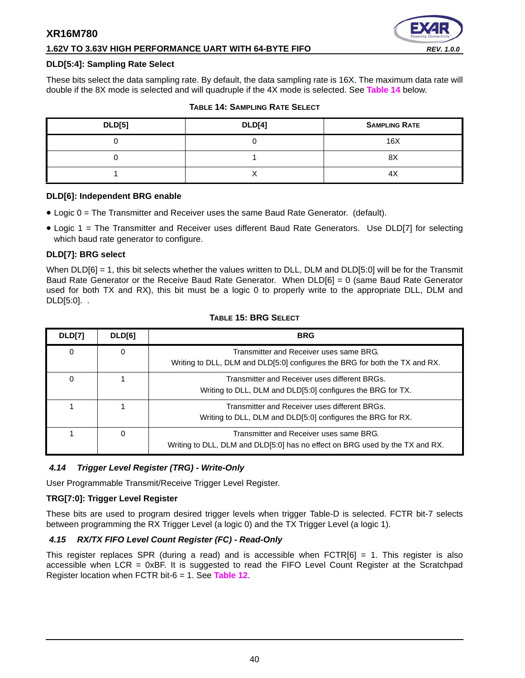# **1.62V TO 3.63V HIGH PERFORMANCE UART WITH 64-BYTE FIFO** *REV. 1.0.0*



#### **DLD[5:4]: Sampling Rate Select**

These bits select the data sampling rate. By default, the data sampling rate is 16X. The maximum data rate will double if the 8X mode is selected and will quadruple if the 4X mode is selected. See **[Table](#page-39-0) 14** below.

<span id="page-39-0"></span>

| <b>DLD[5]</b> | <b>DLD[4]</b> | <b>SAMPLING RATE</b> |
|---------------|---------------|----------------------|
|               |               | 16X                  |
|               |               | 8X                   |
|               |               | 4Χ                   |

#### **TABLE 14: SAMPLING RATE SELECT**

#### **DLD[6]: Independent BRG enable**

- Logic 0 = The Transmitter and Receiver uses the same Baud Rate Generator. (default).
- Logic 1 = The Transmitter and Receiver uses different Baud Rate Generators. Use DLD[7] for selecting which baud rate generator to configure.

#### **DLD[7]: BRG select**

When DLD[6] = 1, this bit selects whether the values written to DLL, DLM and DLD[5:0] will be for the Transmit Baud Rate Generator or the Receive Baud Rate Generator. When  $DLD[6] = 0$  (same Baud Rate Generator used for both TX and RX), this bit must be a logic 0 to properly write to the appropriate DLL, DLM and DLD[5:0]. .

<span id="page-39-1"></span>

| DLD[7] | DLD[6]   | <b>BRG</b>                                                                                                              |
|--------|----------|-------------------------------------------------------------------------------------------------------------------------|
| 0      | $\Omega$ | Transmitter and Receiver uses same BRG.<br>Writing to DLL, DLM and DLD[5:0] configures the BRG for both the TX and RX.  |
| 0      |          | Transmitter and Receiver uses different BRGs.<br>Writing to DLL, DLM and DLD[5:0] configures the BRG for TX.            |
|        |          | Transmitter and Receiver uses different BRGs.<br>Writing to DLL, DLM and DLD[5:0] configures the BRG for RX.            |
|        | 0        | Transmitter and Receiver uses same BRG.<br>Writing to DLL, DLM and DLD[5:0] has no effect on BRG used by the TX and RX. |

#### **TABLE 15: BRG SELECT**

#### <span id="page-39-2"></span>*4.14 Trigger Level Register (TRG) - Write-Only*

User Programmable Transmit/Receive Trigger Level Register.

#### **TRG[7:0]: Trigger Level Register**

These bits are used to program desired trigger levels when trigger Table-D is selected. FCTR bit-7 selects between programming the RX Trigger Level (a logic 0) and the TX Trigger Level (a logic 1).

#### <span id="page-39-3"></span>*4.15 RX/TX FIFO Level Count Register (FC) - Read-Only*

This register replaces SPR (during a read) and is accessible when  $FCTR[6] = 1$ . This register is also accessible when LCR = 0xBF. It is suggested to read the FIFO Level Count Register at the Scratchpad Register location when FCTR bit-6 = 1. See **[Table](#page-37-1) 12**.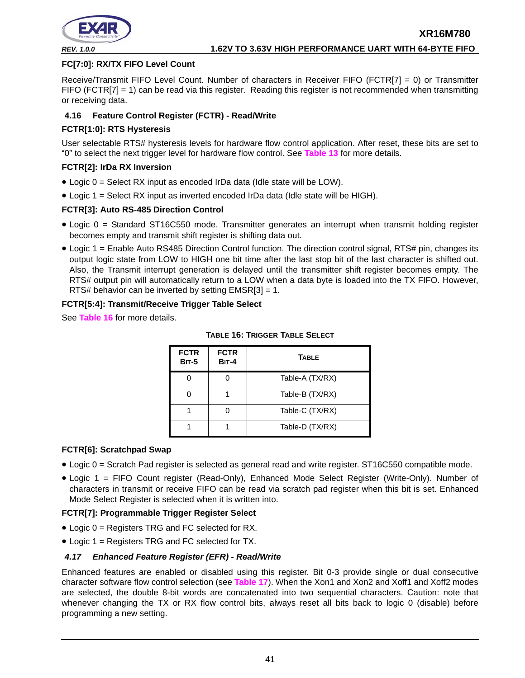

#### **FC[7:0]: RX/TX FIFO Level Count**

Receive/Transmit FIFO Level Count. Number of characters in Receiver FIFO (FCTR[7] = 0) or Transmitter FIFO (FCTR[7] = 1) can be read via this register. Reading this register is not recommended when transmitting or receiving data.

#### <span id="page-40-1"></span>**4.16 Feature Control Register (FCTR) - Read/Write**

#### **FCTR[1:0]: RTS Hysteresis**

User selectable RTS# hysteresis levels for hardware flow control application. After reset, these bits are set to "0" to select the next trigger level for hardware flow control. See **[Table](#page-38-1) 13** for more details.

#### **FCTR[2]: IrDa RX Inversion**

- Logic 0 = Select RX input as encoded IrDa data (Idle state will be LOW).
- Logic 1 = Select RX input as inverted encoded IrDa data (Idle state will be HIGH).

#### **FCTR[3]: Auto RS-485 Direction Control**

- Logic 0 = Standard ST16C550 mode. Transmitter generates an interrupt when transmit holding register becomes empty and transmit shift register is shifting data out.
- Logic 1 = Enable Auto RS485 Direction Control function. The direction control signal, RTS# pin, changes its output logic state from LOW to HIGH one bit time after the last stop bit of the last character is shifted out. Also, the Transmit interrupt generation is delayed until the transmitter shift register becomes empty. The RTS# output pin will automatically return to a LOW when a data byte is loaded into the TX FIFO. However, RTS# behavior can be inverted by setting  $EMSR[3] = 1$ .

#### **FCTR[5:4]: Transmit/Receive Trigger Table Select**

<span id="page-40-0"></span>See **[Table](#page-40-0) 16** for more details.

| <b>FCTR</b><br><b>BIT-5</b> | <b>FCTR</b><br><b>BIT-4</b> | <b>TABLE</b>    |
|-----------------------------|-----------------------------|-----------------|
|                             |                             | Table-A (TX/RX) |
|                             |                             | Table-B (TX/RX) |
|                             |                             | Table-C (TX/RX) |
|                             |                             | Table-D (TX/RX) |

#### **TABLE 16: TRIGGER TABLE SELECT**

#### **FCTR[6]: Scratchpad Swap**

- Logic 0 = Scratch Pad register is selected as general read and write register. ST16C550 compatible mode.
- Logic 1 = FIFO Count register (Read-Only), Enhanced Mode Select Register (Write-Only). Number of characters in transmit or receive FIFO can be read via scratch pad register when this bit is set. Enhanced Mode Select Register is selected when it is written into.

#### **FCTR[7]: Programmable Trigger Register Select**

- Logic 0 = Registers TRG and FC selected for RX.
- Logic 1 = Registers TRG and FC selected for TX.

#### <span id="page-40-2"></span>*4.17 Enhanced Feature Register (EFR) - Read/Write*

Enhanced features are enabled or disabled using this register. Bit 0-3 provide single or dual consecutive character software flow control selection (see **[Table](#page-41-0) 17**). When the Xon1 and Xon2 and Xoff1 and Xoff2 modes are selected, the double 8-bit words are concatenated into two sequential characters. Caution: note that whenever changing the TX or RX flow control bits, always reset all bits back to logic 0 (disable) before programming a new setting.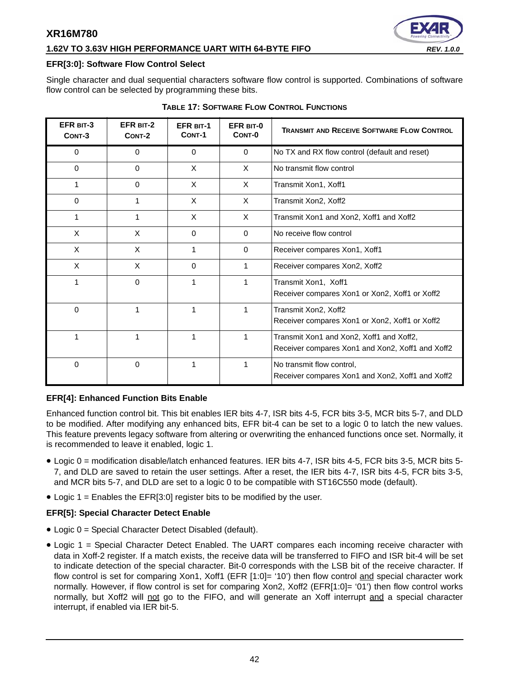## **1.62V TO 3.63V HIGH PERFORMANCE UART WITH 64-BYTE FIFO** *REV. 1.0.0*

#### **EFR[3:0]: Software Flow Control Select**

Single character and dual sequential characters software flow control is supported. Combinations of software flow control can be selected by programming these bits.

<span id="page-41-0"></span>

| EFR BIT-3<br>CONT-3 | EFR BIT-2<br>CONT-2 | <b>EFR BIT-1</b><br>CONT-1 | EFR BIT-0<br>CONT-0 | <b>TRANSMIT AND RECEIVE SOFTWARE FLOW CONTROL</b>                                            |
|---------------------|---------------------|----------------------------|---------------------|----------------------------------------------------------------------------------------------|
| 0                   | 0                   | $\mathbf 0$                | $\mathbf{0}$        | No TX and RX flow control (default and reset)                                                |
| $\Omega$            | $\Omega$            | $\times$                   | $\times$            | No transmit flow control                                                                     |
|                     | $\Omega$            | X                          | X                   | Transmit Xon1, Xoff1                                                                         |
| 0                   | 1                   | X                          | X                   | Transmit Xon2, Xoff2                                                                         |
|                     | 1                   | X                          | $\times$            | Transmit Xon1 and Xon2, Xoff1 and Xoff2                                                      |
| X                   | X                   | $\Omega$                   | $\Omega$            | No receive flow control                                                                      |
| X                   | X                   | 1                          | $\Omega$            | Receiver compares Xon1, Xoff1                                                                |
| X                   | X                   | 0                          | 1                   | Receiver compares Xon2, Xoff2                                                                |
|                     | $\Omega$            | 1                          | 1                   | Transmit Xon1, Xoff1<br>Receiver compares Xon1 or Xon2, Xoff1 or Xoff2                       |
| 0                   | 1                   | 1                          | 1                   | Transmit Xon2, Xoff2<br>Receiver compares Xon1 or Xon2, Xoff1 or Xoff2                       |
|                     | 1                   | 1                          |                     | Transmit Xon1 and Xon2, Xoff1 and Xoff2,<br>Receiver compares Xon1 and Xon2, Xoff1 and Xoff2 |
| 0                   | $\Omega$            | 1                          | 1                   | No transmit flow control,<br>Receiver compares Xon1 and Xon2, Xoff1 and Xoff2                |

#### **TABLE 17: SOFTWARE FLOW CONTROL FUNCTIONS**

#### **EFR[4]: Enhanced Function Bits Enable**

Enhanced function control bit. This bit enables IER bits 4-7, ISR bits 4-5, FCR bits 3-5, MCR bits 5-7, and DLD to be modified. After modifying any enhanced bits, EFR bit-4 can be set to a logic 0 to latch the new values. This feature prevents legacy software from altering or overwriting the enhanced functions once set. Normally, it is recommended to leave it enabled, logic 1.

- Logic 0 = modification disable/latch enhanced features. IER bits 4-7, ISR bits 4-5, FCR bits 3-5, MCR bits 5- 7, and DLD are saved to retain the user settings. After a reset, the IER bits 4-7, ISR bits 4-5, FCR bits 3-5, and MCR bits 5-7, and DLD are set to a logic 0 to be compatible with ST16C550 mode (default).
- Logic 1 = Enables the EFR[3:0] register bits to be modified by the user.

#### **EFR[5]: Special Character Detect Enable**

- Logic 0 = Special Character Detect Disabled (default).
- Logic 1 = Special Character Detect Enabled. The UART compares each incoming receive character with data in Xoff-2 register. If a match exists, the receive data will be transferred to FIFO and ISR bit-4 will be set to indicate detection of the special character. Bit-0 corresponds with the LSB bit of the receive character. If flow control is set for comparing Xon1, Xoff1 (EFR [1:0]= '10') then flow control and special character work normally. However, if flow control is set for comparing Xon2, Xoff2 (EFR[1:0]= '01') then flow control works normally, but Xoff2 will not go to the FIFO, and will generate an Xoff interrupt and a special character interrupt, if enabled via IER bit-5.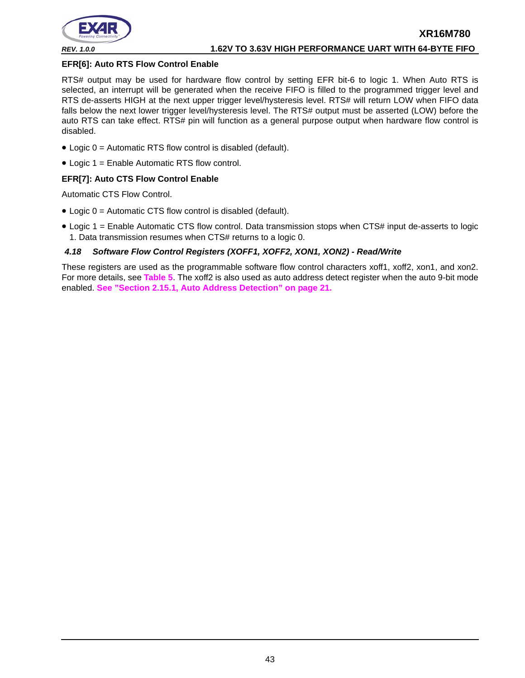

#### **EFR[6]: Auto RTS Flow Control Enable**

RTS# output may be used for hardware flow control by setting EFR bit-6 to logic 1. When Auto RTS is selected, an interrupt will be generated when the receive FIFO is filled to the programmed trigger level and RTS de-asserts HIGH at the next upper trigger level/hysteresis level. RTS# will return LOW when FIFO data falls below the next lower trigger level/hysteresis level. The RTS# output must be asserted (LOW) before the auto RTS can take effect. RTS# pin will function as a general purpose output when hardware flow control is disabled.

- Logic 0 = Automatic RTS flow control is disabled (default).
- Logic 1 = Enable Automatic RTS flow control.

#### **EFR[7]: Auto CTS Flow Control Enable**

Automatic CTS Flow Control.

- Logic 0 = Automatic CTS flow control is disabled (default).
- Logic 1 = Enable Automatic CTS flow control. Data transmission stops when CTS# input de-asserts to logic 1. Data transmission resumes when CTS# returns to a logic 0.

#### <span id="page-42-0"></span>*4.18 Software Flow Control Registers (XOFF1, XOFF2, XON1, XON2) - Read/Write*

These registers are used as the programmable software flow control characters xoff1, xoff2, xon1, and xon2. For more details, see **[Table](#page-19-0) 5**. The xoff2 is also used as auto address detect register when the auto 9-bit mode enabled. **[See "Section 2.15.1, Auto Address Detection" on page](#page-20-1) 21.**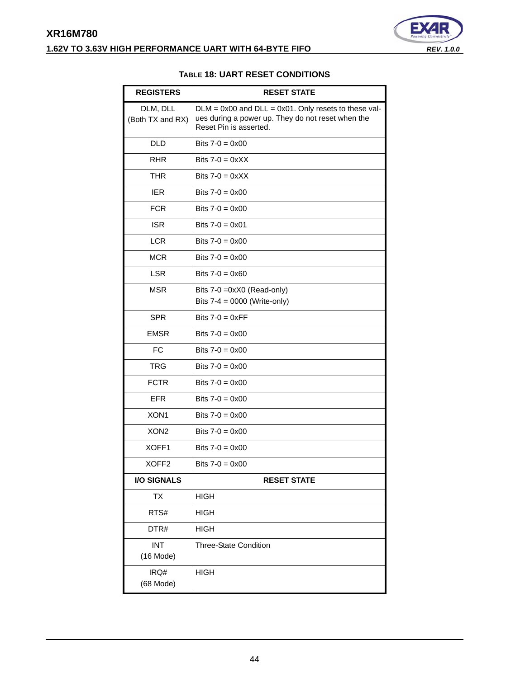# <span id="page-43-0"></span>**XR16M780 1.62V TO 3.63V HIGH PERFORMANCE UART WITH 64-BYTE FIFO** *REV. 1.0.0*



#### **TABLE 18: UART RESET CONDITIONS**

| <b>REGISTERS</b>             | <b>RESET STATE</b>                                                                                                                       |
|------------------------------|------------------------------------------------------------------------------------------------------------------------------------------|
| DLM, DLL<br>(Both TX and RX) | $DLM = 0x00$ and $DLL = 0x01$ . Only resets to these val-<br>ues during a power up. They do not reset when the<br>Reset Pin is asserted. |
| <b>DLD</b>                   | Bits $7-0 = 0 \times 00$                                                                                                                 |
| <b>RHR</b>                   | Bits $7-0 = 0 \times X$                                                                                                                  |
| <b>THR</b>                   | Bits $7-0 = 0 \times XX$                                                                                                                 |
| <b>IER</b>                   | Bits $7-0 = 0 \times 00$                                                                                                                 |
| <b>FCR</b>                   | Bits $7-0 = 0 \times 00$                                                                                                                 |
| <b>ISR</b>                   | Bits $7 - 0 = 0 \times 01$                                                                                                               |
| <b>LCR</b>                   | Bits $7-0 = 0 \times 00$                                                                                                                 |
| <b>MCR</b>                   | Bits $7-0 = 0 \times 00$                                                                                                                 |
| <b>LSR</b>                   | Bits $7-0 = 0 \times 60$                                                                                                                 |
| <b>MSR</b>                   | Bits 7-0 = 0xX0 (Read-only)<br>Bits $7-4 = 0000$ (Write-only)                                                                            |
| <b>SPR</b>                   | Bits $7-0 = 0 \times FF$                                                                                                                 |
| <b>EMSR</b>                  | Bits $7-0 = 0 \times 00$                                                                                                                 |
| <b>FC</b>                    | Bits $7-0 = 0 \times 00$                                                                                                                 |
| <b>TRG</b>                   | Bits $7-0 = 0 \times 00$                                                                                                                 |
| <b>FCTR</b>                  | Bits $7-0 = 0 \times 00$                                                                                                                 |
| <b>EFR</b>                   | Bits $7-0 = 0 \times 00$                                                                                                                 |
| XON <sub>1</sub>             | Bits $7-0 = 0 \times 00$                                                                                                                 |
| XON <sub>2</sub>             | Bits $7-0 = 0 \times 00$                                                                                                                 |
| XOFF1                        | Bits $7-0 = 0 \times 00$                                                                                                                 |
| XOFF <sub>2</sub>            | Bits $7-0 = 0 \times 00$                                                                                                                 |
| <b>I/O SIGNALS</b>           | <b>RESET STATE</b>                                                                                                                       |
| ТX                           | <b>HIGH</b>                                                                                                                              |
| RTS#                         | <b>HIGH</b>                                                                                                                              |
| DTR#                         | <b>HIGH</b>                                                                                                                              |
| <b>INT</b><br>$(16$ Mode)    | <b>Three-State Condition</b>                                                                                                             |
| IRQ#<br>(68 Mode)            | <b>HIGH</b>                                                                                                                              |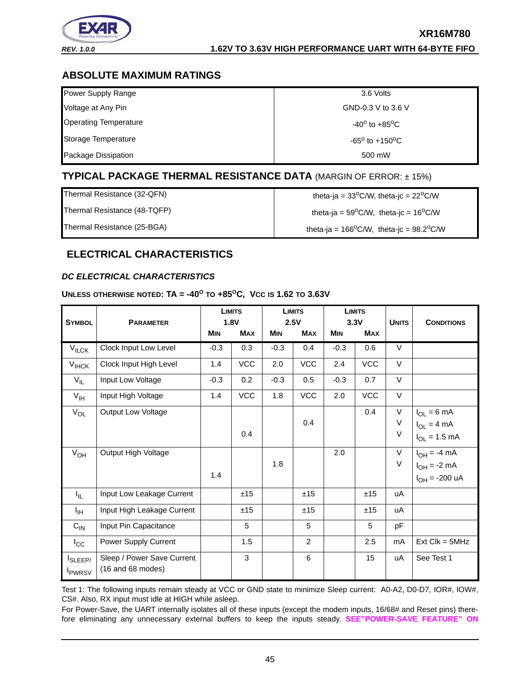

# <span id="page-44-1"></span>**ABSOLUTE MAXIMUM RATINGS**

| Power Supply Range           | 3.6 Volts                              |
|------------------------------|----------------------------------------|
| Voltage at Any Pin           | GND-0.3 V to 3.6 V                     |
| <b>Operating Temperature</b> | -40 <sup>o</sup> to +85 <sup>o</sup> C |
| Storage Temperature          | $-65^{\circ}$ to $+150^{\circ}$ C      |
| Package Dissipation          | 500 mW                                 |

# <span id="page-44-2"></span>**TYPICAL PACKAGE THERMAL RESISTANCE DATA** (MARGIN OF ERROR: ± 15%)

| Thermal Resistance (32-QFN)  | theta-ja = $33^{\circ}$ C/W, theta-jc = $22^{\circ}$ C/W    |
|------------------------------|-------------------------------------------------------------|
| Thermal Resistance (48-TQFP) | theta-ja = $59^{\circ}$ C/W, theta-jc = $16^{\circ}$ C/W    |
| Thermal Resistance (25-BGA)  | theta-ja = $166^{\circ}$ C/W, theta-jc = $98.2^{\circ}$ C/W |

# <span id="page-44-3"></span>**ELECTRICAL CHARACTERISTICS**

## <span id="page-44-0"></span>*DC ELECTRICAL CHARACTERISTICS*

#### **UNLESS OTHERWISE NOTED: TA = -40<sup>O</sup> TO +85OC, VCC IS 1.62 TO 3.63V**

|                                                 | <b>PARAMETER</b>                                  |            | <b>LIMITS</b><br>1.8V |            | <b>LIMITS</b><br>2.5V |            | <b>LIMITS</b><br>3.3V |              | <b>CONDITIONS</b>          |
|-------------------------------------------------|---------------------------------------------------|------------|-----------------------|------------|-----------------------|------------|-----------------------|--------------|----------------------------|
| <b>SYMBOL</b>                                   |                                                   | <b>MIN</b> | <b>MAX</b>            | <b>MIN</b> | <b>MAX</b>            | <b>MIN</b> | <b>MAX</b>            | <b>UNITS</b> |                            |
| $V_{\text{ILCK}}$                               | Clock Input Low Level                             | $-0.3$     | 0.3                   | $-0.3$     | 0.4                   | $-0.3$     | 0.6                   | V            |                            |
| $V_{IHCK}$                                      | Clock Input High Level                            | 1.4        | VCC                   | 2.0        | VCC                   | 2.4        | VCC                   | $\vee$       |                            |
| $V_{IL}$                                        | Input Low Voltage                                 | $-0.3$     | 0.2                   | $-0.3$     | 0.5                   | $-0.3$     | 0.7                   | $\vee$       |                            |
| $V_{\text{IH}}$                                 | Input High Voltage                                | 1.4        | <b>VCC</b>            | 1.8        | <b>VCC</b>            | 2.0        | VCC                   | V            |                            |
| $V_{OL}$                                        | Output Low Voltage                                |            |                       |            |                       |            | 0.4                   | $\vee$       | $I_{OL} = 6 mA$            |
|                                                 |                                                   |            |                       |            | 0.4                   |            |                       | V            | $I_{OL} = 4 mA$            |
|                                                 |                                                   |            | 0.4                   |            |                       |            |                       | $\vee$       | $I_{OL} = 1.5$ mA          |
| $V_{OH}$                                        | Output High Voltage                               |            |                       |            |                       | 2.0        |                       | V            | $I_{OH} = -4$ mA           |
|                                                 |                                                   |            |                       | 1.8        |                       |            |                       | $\vee$       | $I_{OH} = -2 mA$           |
|                                                 |                                                   | 1.4        |                       |            |                       |            |                       |              | $I_{OH} = -200 \text{ uA}$ |
| ΙL.                                             | Input Low Leakage Current                         |            | ±15                   |            | ±15                   |            | ±15                   | uA           |                            |
| $I_{\rm IH}$                                    | Input High Leakage Current                        |            | ±15                   |            | ±15                   |            | ±15                   | uA           |                            |
| $C_{IN}$                                        | Input Pin Capacitance                             |            | 5                     |            | 5                     |            | 5                     | pF           |                            |
| $I_{\rm CC}$                                    | Power Supply Current                              |            | 1.5                   |            | $\overline{2}$        |            | 2.5                   | mA           | $Ext$ Clk = $5MHz$         |
| I <sub>SLEEP</sub><br><b>I</b> <sub>PWRSV</sub> | Sleep / Power Save Current<br>$(16$ and 68 modes) |            | 3                     |            | 6                     |            | 15                    | uA           | See Test 1                 |

Test 1: The following inputs remain steady at VCC or GND state to minimize Sleep current: A0-A2, D0-D7, IOR#, IOW#, CS#. Also, RX input must idle at HIGH while asleep.

For Power-Save, the UART internally isolates all of these inputs (except the modem inputs, 16/68# and Reset pins) therefore eliminating any unnecessary external buffers to keep the inputs steady. **[SEE"POWER-SAVE FEATURE" ON](#page-22-1)**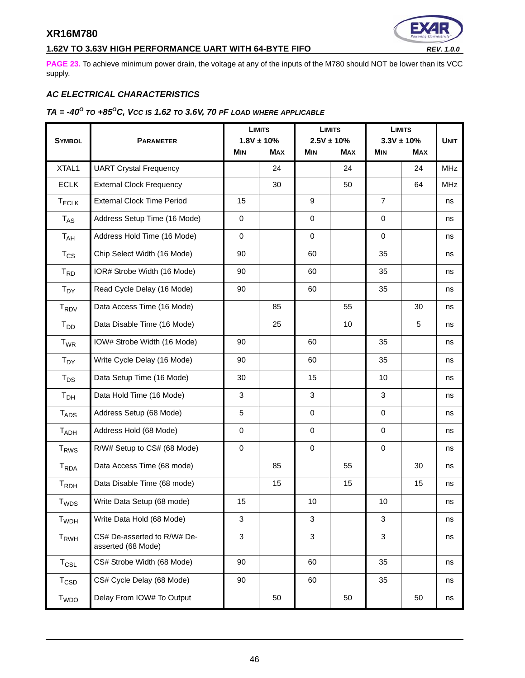# **1.62V TO 3.63V HIGH PERFORMANCE UART WITH 64-BYTE FIFO** *REV. 1.0.0*

**[PAGE](#page-22-1) 23.** To achieve minimum power drain, the voltage at any of the inputs of the M780 should NOT be lower than its VCC supply.

# <span id="page-45-0"></span>*AC ELECTRICAL CHARACTERISTICS*

# <span id="page-45-1"></span>*TA = -40O TO +85OC, VCC IS 1.62 TO 3.6V, 70 PF LOAD WHERE APPLICABLE*

|                         |                                                   | <b>LIMITS</b><br>$1.8V \pm 10\%$              |    | <b>LIMITS</b><br>$2.5V \pm 10\%$ |            | <b>LIMITS</b><br>$3.3V \pm 10%$ |             |            |
|-------------------------|---------------------------------------------------|-----------------------------------------------|----|----------------------------------|------------|---------------------------------|-------------|------------|
| <b>SYMBOL</b>           | <b>PARAMETER</b>                                  | <b>MIN</b><br><b>MAX</b><br>MIN<br><b>MAX</b> |    |                                  | <b>MIN</b> | <b>MAX</b>                      | <b>UNIT</b> |            |
| XTAL1                   | <b>UART Crystal Frequency</b>                     |                                               | 24 |                                  | 24         |                                 | 24          | <b>MHz</b> |
| <b>ECLK</b>             | <b>External Clock Frequency</b>                   |                                               | 30 |                                  | 50         |                                 | 64          | <b>MHz</b> |
| $T_{ECLK}$              | <b>External Clock Time Period</b>                 | 15                                            |    | 9                                |            | $\overline{7}$                  |             | ns         |
| $T_{AS}$                | Address Setup Time (16 Mode)                      | $\mathbf 0$                                   |    | $\Omega$                         |            | $\Omega$                        |             | ns         |
| $T_{AH}$                | Address Hold Time (16 Mode)                       | $\mathbf 0$                                   |    | $\mathbf 0$                      |            | $\mathbf 0$                     |             | ns         |
| $T_{CS}$                | Chip Select Width (16 Mode)                       | 90                                            |    | 60                               |            | 35                              |             | ns         |
| $T_{RD}$                | IOR# Strobe Width (16 Mode)                       | 90                                            |    | 60                               |            | 35                              |             | ns         |
| $T_{DY}$                | Read Cycle Delay (16 Mode)                        | 90                                            |    | 60                               |            | 35                              |             | ns         |
| $T_{\text{RDV}}$        | Data Access Time (16 Mode)                        |                                               | 85 |                                  | 55         |                                 | 30          | ns         |
| $T_{DD}$                | Data Disable Time (16 Mode)                       |                                               | 25 |                                  | 10         |                                 | 5           | ns         |
| $T_{WR}$                | IOW# Strobe Width (16 Mode)                       | 90                                            |    | 60                               |            | 35                              |             | ns         |
| $T_{DY}$                | Write Cycle Delay (16 Mode)                       | 90                                            |    | 60                               |            | 35                              |             | ns         |
| $T_{DS}$                | Data Setup Time (16 Mode)                         | 30                                            |    | 15                               |            | 10                              |             | ns         |
| T <sub>DH</sub>         | Data Hold Time (16 Mode)                          | 3                                             |    | 3                                |            | 3                               |             | ns         |
| T <sub>ADS</sub>        | Address Setup (68 Mode)                           | 5                                             |    | $\mathbf 0$                      |            | $\mathbf 0$                     |             | ns         |
| T <sub>ADH</sub>        | Address Hold (68 Mode)                            | $\mathbf 0$                                   |    | $\mathbf 0$                      |            | $\mathbf 0$                     |             | ns         |
| <b>T<sub>RWS</sub></b>  | R/W# Setup to CS# (68 Mode)                       | $\mathbf 0$                                   |    | $\mathbf 0$                      |            | $\mathbf 0$                     |             | ns         |
| <b>T</b> <sub>RDA</sub> | Data Access Time (68 mode)                        |                                               | 85 |                                  | 55         |                                 | 30          | ns         |
| T <sub>RDH</sub>        | Data Disable Time (68 mode)                       |                                               | 15 |                                  | 15         |                                 | 15          | ns         |
| $T_{WDS}$               | Write Data Setup (68 mode)                        | 15                                            |    | 10                               |            | 10                              |             | ns         |
| T <sub>WDH</sub>        | Write Data Hold (68 Mode)                         | 3                                             |    | 3                                |            | 3                               |             | ns         |
| T <sub>RWH</sub>        | CS# De-asserted to R/W# De-<br>asserted (68 Mode) | 3                                             |    | 3                                |            | 3                               |             | ns         |
| $T_{CSL}$               | CS# Strobe Width (68 Mode)                        | 90                                            |    | 60                               |            | 35                              |             | ns         |
| $T_{\text{CSD}}$        | CS# Cycle Delay (68 Mode)                         | 90                                            |    | 60                               |            | 35                              |             | ns         |
| T <sub>WDO</sub>        | Delay From IOW# To Output                         |                                               | 50 |                                  | 50         |                                 | 50          | ns         |

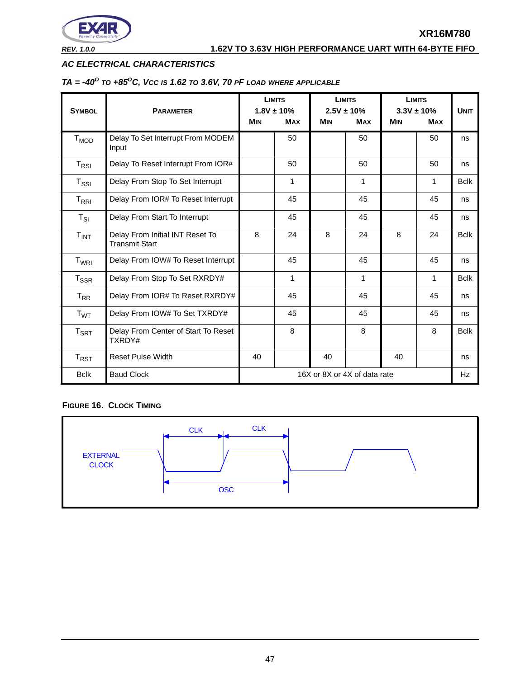

## *AC ELECTRICAL CHARACTERISTICS*

# *TA = -40O TO +85OC, VCC IS 1.62 TO 3.6V, 70 PF LOAD WHERE APPLICABLE*

| <b>SYMBOL</b>               | <b>PARAMETER</b>                                         |            | <b>LIMITS</b><br>$1.8V \pm 10\%$ |            | <b>LIMITS</b><br>$2.5V \pm 10\%$ |            | <b>LIMITS</b><br>$3.3V \pm 10\%$ |             |
|-----------------------------|----------------------------------------------------------|------------|----------------------------------|------------|----------------------------------|------------|----------------------------------|-------------|
|                             |                                                          | <b>MIN</b> | <b>MAX</b>                       | <b>MIN</b> | <b>MAX</b>                       | <b>MIN</b> | <b>MAX</b>                       |             |
| T <sub>MOD</sub>            | Delay To Set Interrupt From MODEM<br>Input               |            | 50                               |            | 50                               |            | 50                               | ns          |
| $T_{RSI}$                   | Delay To Reset Interrupt From IOR#                       |            | 50                               |            | 50                               |            | 50                               | ns          |
| $T_{\rm SSI}$               | Delay From Stop To Set Interrupt                         |            | 1                                |            | 1                                |            | 1                                | <b>Bclk</b> |
| $T_{\sf RRI}$               | Delay From IOR# To Reset Interrupt                       |            | 45                               |            | 45                               |            | 45                               | ns          |
| $T_{SI}$                    | Delay From Start To Interrupt                            |            | 45                               |            | 45                               |            | 45                               | ns          |
| T <sub>INT</sub>            | Delay From Initial INT Reset To<br><b>Transmit Start</b> | 8          | 24                               | 8          | 24                               | 8          | 24                               | <b>Bclk</b> |
| $T_{WRI}$                   | Delay From IOW# To Reset Interrupt                       |            | 45                               |            | 45                               |            | 45                               | ns          |
| $T_{\rm SSR}$               | Delay From Stop To Set RXRDY#                            |            | $\mathbf{1}$                     |            | $\mathbf{1}$                     |            | 1                                | <b>Bclk</b> |
| $T_{RR}$                    | Delay From IOR# To Reset RXRDY#                          |            | 45                               |            | 45                               |            | 45                               | ns          |
| T <sub>WT</sub>             | Delay From IOW# To Set TXRDY#                            |            | 45                               |            | 45                               |            | 45                               | ns          |
| $\mathsf{T}_{\mathsf{SRT}}$ | Delay From Center of Start To Reset<br>TXRDY#            |            | 8                                |            | 8                                |            | 8                                | <b>Bclk</b> |
| $T_{\sf RST}$               | <b>Reset Pulse Width</b>                                 | 40         |                                  | 40         |                                  | 40         |                                  | ns          |
| <b>Bclk</b>                 | <b>Baud Clock</b>                                        |            |                                  |            | 16X or 8X or 4X of data rate     |            |                                  | Hz          |

# <span id="page-46-0"></span>**FIGURE 16. CLOCK TIMING**

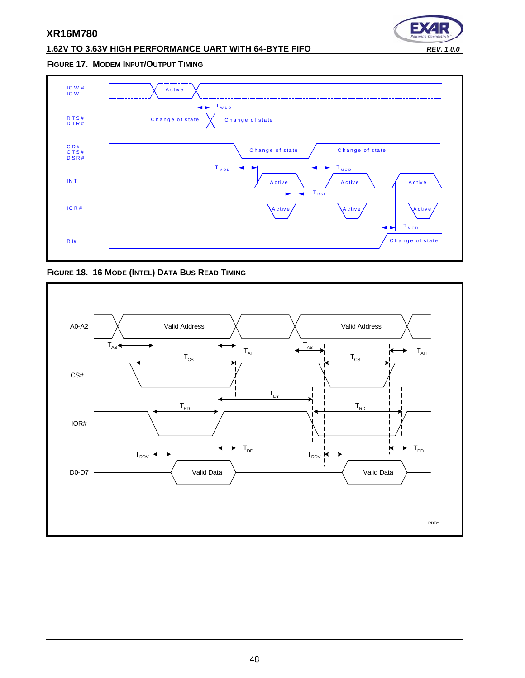# **1.62V TO 3.63V HIGH PERFORMANCE UART WITH 64-BYTE FIFO** *REV. 1.0.0*



#### <span id="page-47-0"></span>**FIGURE 17. MODEM INPUT/OUTPUT TIMING**



<span id="page-47-1"></span>**FIGURE 18. 16 MODE (INTEL) DATA BUS READ TIMING**

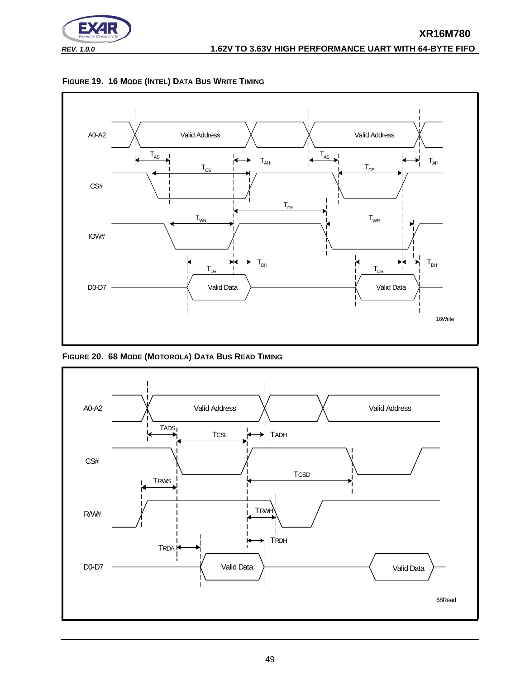

<span id="page-48-0"></span>



<span id="page-48-1"></span>**FIGURE 20. 68 MODE (MOTOROLA) DATA BUS READ TIMING**

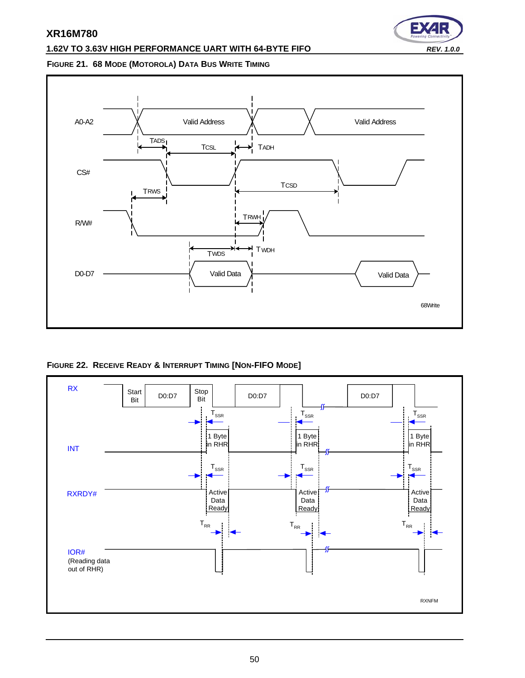# **1.62V TO 3.63V HIGH PERFORMANCE UART WITH 64-BYTE FIFO** *REV. 1.0.0*



#### <span id="page-49-1"></span>**FIGURE 21. 68 MODE (MOTOROLA) DATA BUS WRITE TIMING**



<span id="page-49-0"></span>**FIGURE 22. RECEIVE READY & INTERRUPT TIMING [NON-FIFO MODE]**

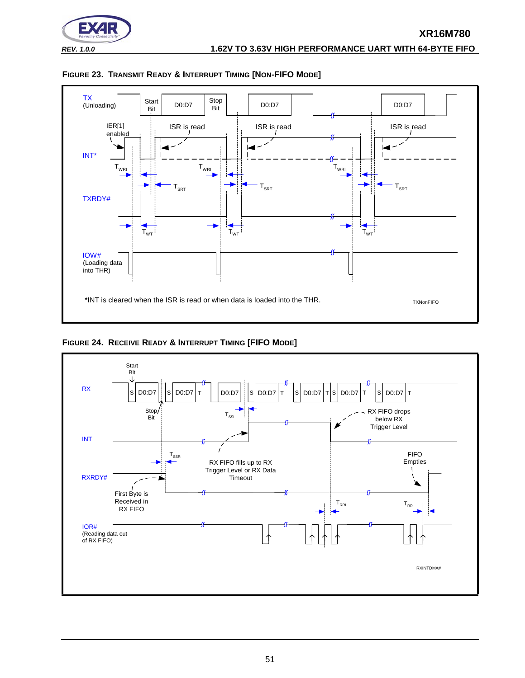



<span id="page-50-0"></span>

<span id="page-50-1"></span>

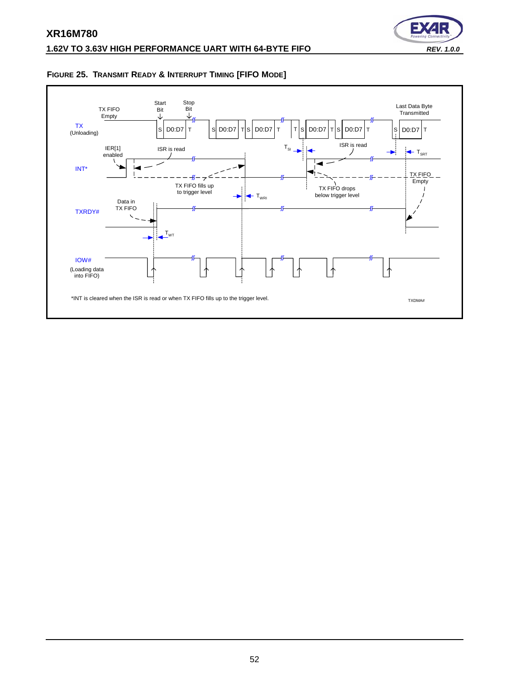

# <span id="page-51-0"></span>**FIGURE 25. TRANSMIT READY & INTERRUPT TIMING [FIFO MODE]**

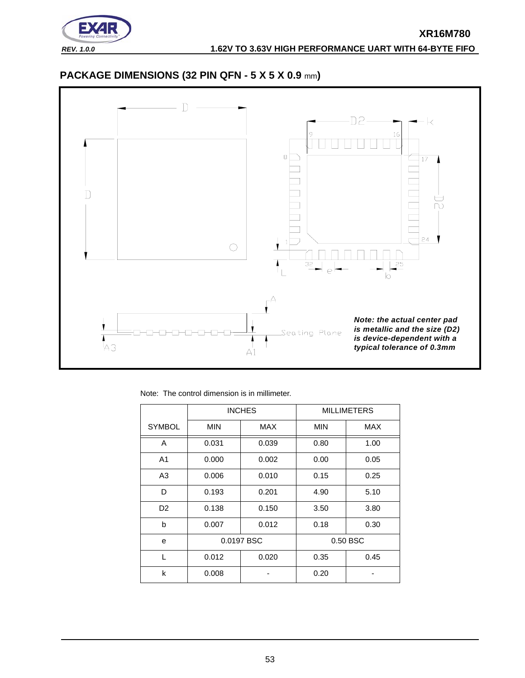

# <span id="page-52-0"></span>**PACKAGE DIMENSIONS (32 PIN QFN - 5 X 5 X 0.9** mm**)**



|  |  |  | Note: The control dimension is in millimeter. |
|--|--|--|-----------------------------------------------|
|  |  |  |                                               |

|                |            | <b>INCHES</b> |            | <b>MILLIMETERS</b> |
|----------------|------------|---------------|------------|--------------------|
| <b>SYMBOL</b>  | <b>MIN</b> | <b>MAX</b>    | <b>MIN</b> | <b>MAX</b>         |
| A              | 0.031      | 0.039         | 0.80       | 1.00               |
| A <sub>1</sub> | 0.000      | 0.002         | 0.00       | 0.05               |
| A3             | 0.006      | 0.010         | 0.15       | 0.25               |
| D              | 0.193      | 0.201         | 4.90       | 5.10               |
| D <sub>2</sub> | 0.138      | 0.150         | 3.50       | 3.80               |
| b              | 0.007      | 0.012         | 0.18       | 0.30               |
| e              |            | 0.0197 BSC    |            | 0.50 BSC           |
| L              | 0.012      | 0.020         | 0.35       | 0.45               |
| k              | 0.008      |               | 0.20       |                    |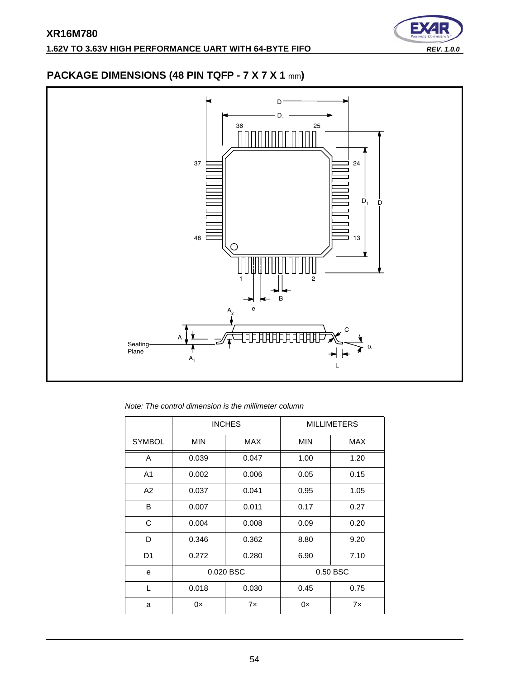

# <span id="page-53-0"></span>**PACKAGE DIMENSIONS (48 PIN TQFP - 7 X 7 X 1** mm**)**



*Note: The control dimension is the millimeter column*

|                |            | <b>INCHES</b> |            | <b>MILLIMETERS</b> |
|----------------|------------|---------------|------------|--------------------|
| <b>SYMBOL</b>  | <b>MIN</b> | MAX           | <b>MIN</b> | <b>MAX</b>         |
| A              | 0.039      | 0.047         | 1.00       | 1.20               |
| A <sub>1</sub> | 0.002      | 0.006         | 0.05       | 0.15               |
| A2             | 0.037      | 0.041         | 0.95       | 1.05               |
| B              | 0.007      | 0.011         | 0.17       | 0.27               |
| C              | 0.004      | 0.008         | 0.09       | 0.20               |
| D              | 0.346      | 0.362         | 8.80       | 9.20               |
| D <sub>1</sub> | 0.272      | 0.280         | 6.90       | 7.10               |
| e              |            | 0.020 BSC     |            | 0.50 BSC           |
| L              | 0.018      | 0.030         | 0.45       | 0.75               |
| a              | 0x         | 7x            | 0x         | 7x                 |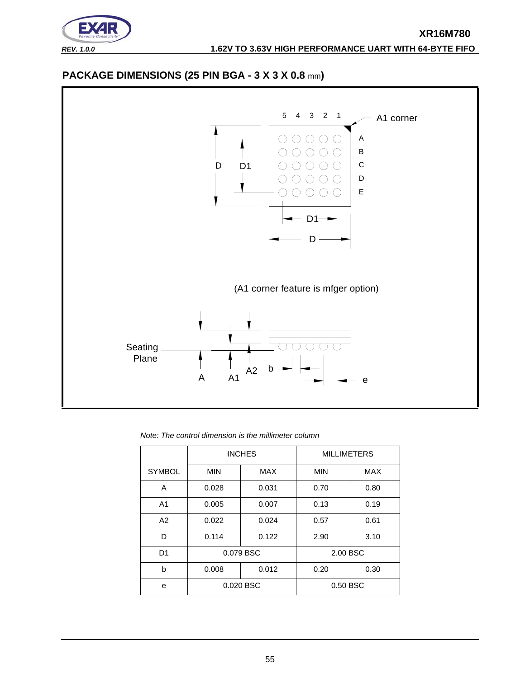

# <span id="page-54-0"></span>**PACKAGE DIMENSIONS (25 PIN BGA - 3 X 3 X 0.8** mm**)**



*Note: The control dimension is the millimeter column*

|                |            | <b>INCHES</b> | <b>MILLIMETERS</b> |            |  |
|----------------|------------|---------------|--------------------|------------|--|
| <b>SYMBOL</b>  | <b>MIN</b> | <b>MAX</b>    | <b>MIN</b>         | <b>MAX</b> |  |
| A              | 0.028      | 0.031         | 0.70               | 0.80       |  |
| A <sub>1</sub> | 0.005      | 0.007         | 0.13               | 0.19       |  |
| A2             | 0.022      | 0.024         | 0.57               | 0.61       |  |
| D              | 0.114      | 0.122         | 2.90               | 3.10       |  |
| D <sub>1</sub> |            | 0.079 BSC     |                    | 2.00 BSC   |  |
| b              | 0.008      | 0.012         | 0.20               | 0.30       |  |
| e              |            | 0.020 BSC     | 0.50 BSC           |            |  |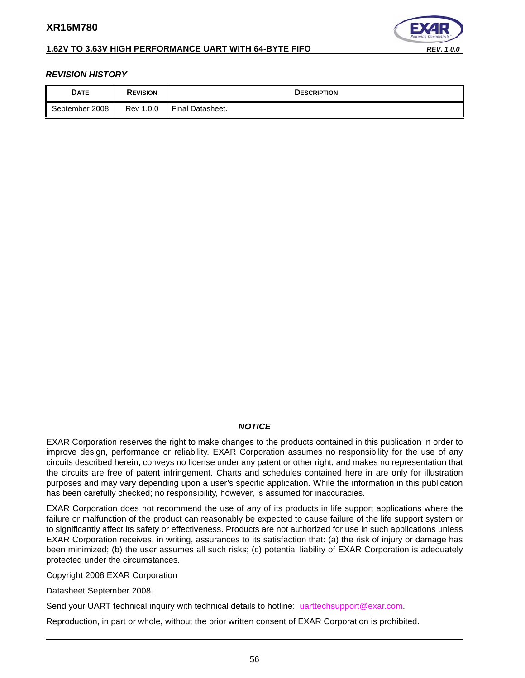

# **1.62V TO 3.63V HIGH PERFORMANCE UART WITH 64-BYTE FIFO** *REV. 1.0.0*

## <span id="page-55-0"></span>*REVISION HISTORY*

| <b>DATE</b>    | <b>REVISION</b> | <b>DESCRIPTION</b>      |
|----------------|-----------------|-------------------------|
| September 2008 | Rev 1.0.0       | <b>Final Datasheet.</b> |

#### *NOTICE*

EXAR Corporation reserves the right to make changes to the products contained in this publication in order to improve design, performance or reliability. EXAR Corporation assumes no responsibility for the use of any circuits described herein, conveys no license under any patent or other right, and makes no representation that the circuits are free of patent infringement. Charts and schedules contained here in are only for illustration purposes and may vary depending upon a user's specific application. While the information in this publication has been carefully checked; no responsibility, however, is assumed for inaccuracies.

EXAR Corporation does not recommend the use of any of its products in life support applications where the failure or malfunction of the product can reasonably be expected to cause failure of the life support system or to significantly affect its safety or effectiveness. Products are not authorized for use in such applications unless EXAR Corporation receives, in writing, assurances to its satisfaction that: (a) the risk of injury or damage has been minimized; (b) the user assumes all such risks; (c) potential liability of EXAR Corporation is adequately protected under the circumstances.

Copyright 2008 EXAR Corporation

Datasheet September 2008.

Send your UART technical inquiry with technical details to hotline: uarttechsupport@exar.com.

Reproduction, in part or whole, without the prior written consent of EXAR Corporation is prohibited.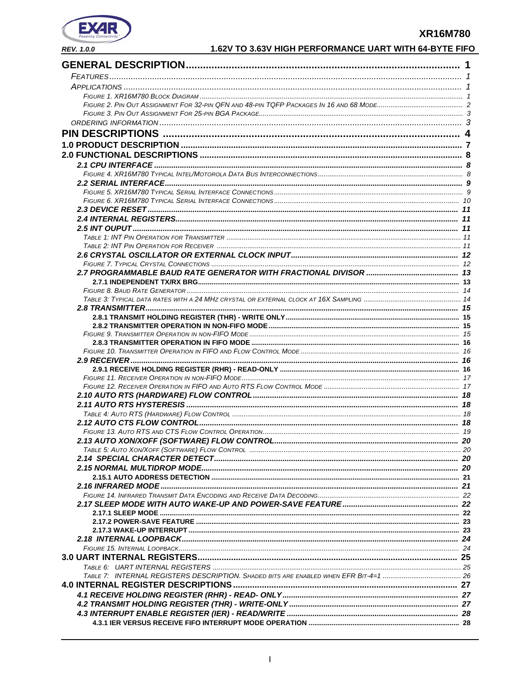

|  | 1.62V TO 3.63V HIGH PERFORMANCE UART WITH 64-BYTE FIFO |
|--|--------------------------------------------------------|
|--|--------------------------------------------------------|